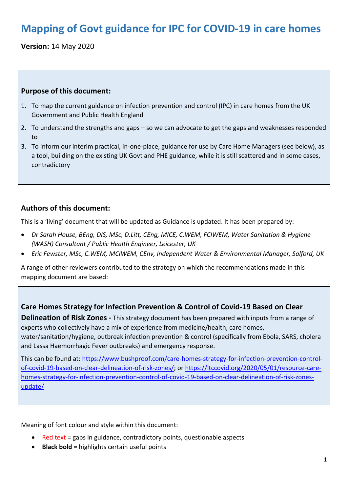# **Mapping of Govt guidance for IPC for COVID-19 in care homes**

**Version:** 14 May 2020

#### **Purpose of this document:**

- 1. To map the current guidance on infection prevention and control (IPC) in care homes from the UK Government and Public Health England
- 2. To understand the strengths and gaps so we can advocate to get the gaps and weaknesses responded to
- 3. To inform our interim practical, in-one-place, guidance for use by Care Home Managers (see below), as a tool, building on the existing UK Govt and PHE guidance, while it is still scattered and in some cases, contradictory

### **Authors of this document:**

This is a 'living' document that will be updated as Guidance is updated. It has been prepared by:

- *Dr Sarah House, BEng, DIS, MSc, D.Litt, CEng, MICE, C.WEM, FCIWEM, Water Sanitation & Hygiene (WASH) Consultant / Public Health Engineer, Leicester, UK*
- *Eric Fewster, MSc, C.WEM, MCIWEM, CEnv, Independent Water & Environmental Manager, Salford, UK*

A range of other reviewers contributed to the strategy on which the recommendations made in this mapping document are based:

#### **Care Homes Strategy for Infection Prevention & Control of Covid-19 Based on Clear**

**Delineation of Risk Zones -** This strategy document has been prepared with inputs from a range of experts who collectively have a mix of experience from medicine/health, care homes, water/sanitation/hygiene, outbreak infection prevention & control (specifically from Ebola, SARS, cholera and Lassa Haemorrhagic Fever outbreaks) and emergency response.

This can be found at: [https://www.bushproof.com/care-homes-strategy-for-infection-prevention-control](https://www.bushproof.com/care-homes-strategy-for-infection-prevention-control-of-covid-19-based-on-clear-delineation-of-risk-zones/)[of-covid-19-based-on-clear-delineation-of-risk-zones/;](https://www.bushproof.com/care-homes-strategy-for-infection-prevention-control-of-covid-19-based-on-clear-delineation-of-risk-zones/) o[r https://ltccovid.org/2020/05/01/resource-care](https://ltccovid.org/2020/05/01/resource-care-homes-strategy-for-infection-prevention-control-of-covid-19-based-on-clear-delineation-of-risk-zones-update/)[homes-strategy-for-infection-prevention-control-of-covid-19-based-on-clear-delineation-of-risk-zones](https://ltccovid.org/2020/05/01/resource-care-homes-strategy-for-infection-prevention-control-of-covid-19-based-on-clear-delineation-of-risk-zones-update/)[update/](https://ltccovid.org/2020/05/01/resource-care-homes-strategy-for-infection-prevention-control-of-covid-19-based-on-clear-delineation-of-risk-zones-update/)

Meaning of font colour and style within this document:

- Red text = gaps in guidance, contradictory points, questionable aspects
- **Black bold** = highlights certain useful points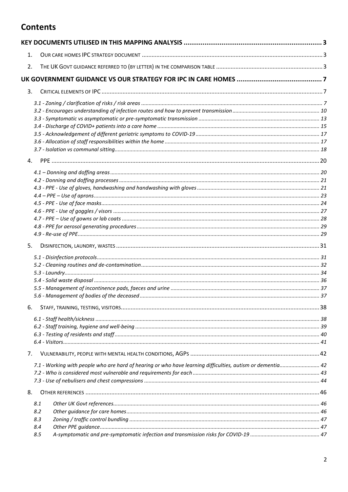### **Contents**

| 1.             |                                                                                                            |  |
|----------------|------------------------------------------------------------------------------------------------------------|--|
| 2.             |                                                                                                            |  |
|                |                                                                                                            |  |
| 3.             |                                                                                                            |  |
|                |                                                                                                            |  |
|                |                                                                                                            |  |
|                |                                                                                                            |  |
|                |                                                                                                            |  |
|                |                                                                                                            |  |
|                |                                                                                                            |  |
|                |                                                                                                            |  |
| $\mathbf{4}$ . |                                                                                                            |  |
|                |                                                                                                            |  |
|                |                                                                                                            |  |
|                |                                                                                                            |  |
|                |                                                                                                            |  |
|                |                                                                                                            |  |
|                |                                                                                                            |  |
|                |                                                                                                            |  |
|                |                                                                                                            |  |
| 5.             |                                                                                                            |  |
|                |                                                                                                            |  |
|                |                                                                                                            |  |
|                |                                                                                                            |  |
|                |                                                                                                            |  |
|                |                                                                                                            |  |
|                |                                                                                                            |  |
| 6.             |                                                                                                            |  |
|                |                                                                                                            |  |
|                |                                                                                                            |  |
|                |                                                                                                            |  |
|                |                                                                                                            |  |
| 7.             |                                                                                                            |  |
|                | 7.1 - Working with people who are hard of hearing or who have learning difficulties, autism or dementia 42 |  |
|                |                                                                                                            |  |
|                |                                                                                                            |  |
| 8.             |                                                                                                            |  |
|                | 8.1                                                                                                        |  |
|                | 8.2                                                                                                        |  |
|                | 8.3                                                                                                        |  |
|                | 8.4                                                                                                        |  |
|                | 8.5                                                                                                        |  |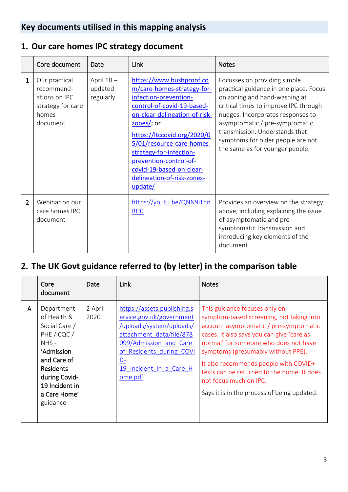## <span id="page-2-0"></span>**Key documents utilised in this mapping analysis**

## <span id="page-2-1"></span>**1. Our care homes IPC strategy document**

|                | Core document                                                                          | Date                              | Link                                                                                                                                                                                                                                                                                                                                                         | <b>Notes</b>                                                                                                                                                                                                                                                                                                                      |
|----------------|----------------------------------------------------------------------------------------|-----------------------------------|--------------------------------------------------------------------------------------------------------------------------------------------------------------------------------------------------------------------------------------------------------------------------------------------------------------------------------------------------------------|-----------------------------------------------------------------------------------------------------------------------------------------------------------------------------------------------------------------------------------------------------------------------------------------------------------------------------------|
| 1              | Our practical<br>recommend-<br>ations on IPC<br>strategy for care<br>homes<br>document | April 18-<br>updated<br>regularly | https://www.bushproof.co<br>m/care-homes-strategy-for-<br>infection-prevention-<br>control-of-covid-19-based-<br>on-clear-delineation-of-risk-<br>$\frac{zones}{i}$ or<br>https://ltccovid.org/2020/0<br>5/01/resource-care-homes-<br>strategy-for-infection-<br>prevention-control-of-<br>covid-19-based-on-clear-<br>delineation-of-risk-zones-<br>update/ | Focusses on providing simple<br>practical guidance in one place. Focus<br>on zoning and hand-washing at<br>critical times to improve IPC through<br>nudges. Incorporates responses to<br>asymptomatic / pre-symptomatic<br>transmission. Understands that<br>symptoms for older people are not<br>the same as for younger people. |
| $\overline{2}$ | Webinar on our<br>care homes IPC<br>document                                           |                                   | https://youtu.be/QNN9iTnn<br>RH <sub>0</sub>                                                                                                                                                                                                                                                                                                                 | Provides an overview on the strategy<br>above, including explaining the issue<br>of asymptomatic and pre-<br>symptomatic transmission and<br>introducing key elements of the<br>document                                                                                                                                          |

## <span id="page-2-2"></span>**2. The UK Govt guidance referred to (by letter) in the comparison table**

|              | Core<br>document                                                                                                                                                                     | Date            | <b>Link</b>                                                                                                                                                                                                          | <b>Notes</b>                                                                                                                                                                                                                                                                                                                                                                                                    |
|--------------|--------------------------------------------------------------------------------------------------------------------------------------------------------------------------------------|-----------------|----------------------------------------------------------------------------------------------------------------------------------------------------------------------------------------------------------------------|-----------------------------------------------------------------------------------------------------------------------------------------------------------------------------------------------------------------------------------------------------------------------------------------------------------------------------------------------------------------------------------------------------------------|
| $\mathsf{A}$ | Department<br>of Health &<br>Social Care /<br>PHE / CQC /<br>$NHS -$<br>'Admission<br>and Care of<br><b>Residents</b><br>during Covid-<br>19 Incident in<br>a Care Home'<br>guidance | 2 April<br>2020 | https://assets.publishing.s<br>ervice.gov.uk/government<br>/uploads/system/uploads/<br>attachment data/file/878<br>099/Admission and Care<br>of Residents during COVI<br>$D -$<br>19 Incident in a Care H<br>ome.pdf | This guidance focuses only on<br>symptom-based screening, not taking into<br>account asymptomatic / pre-symptomatic<br>cases. It also says you can give 'care as<br>normal' for someone who does not have<br>symptoms (presumably without PPE).<br>It also recommends people with COVID+<br>tests can be returned to the home. It does<br>not focus much on IPC.<br>Says it is in the process of being updated. |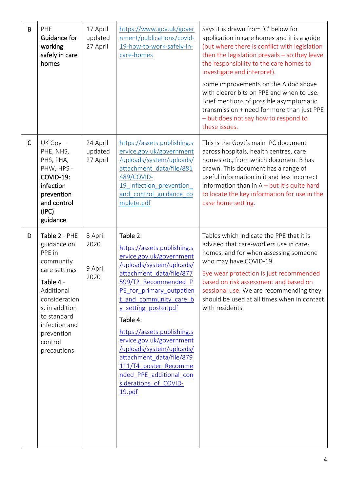| B            | PHE<br><b>Guidance for</b><br>working<br>safely in care<br>homes                                                                                                                                           | 17 April<br>updated<br>27 April    | https://www.gov.uk/gover<br>nment/publications/covid-<br>19-how-to-work-safely-in-<br>care-homes                                                                                                                                                                                                                                                                                                                                                        | Says it is drawn from 'C' below for<br>application in care homes and it is a guide<br>(but where there is conflict with legislation<br>then the legislation prevails $-$ so they leave<br>the responsibility to the care homes to<br>investigate and interpret).<br>Some improvements on the A doc above<br>with clearer bits on PPE and when to use.<br>Brief mentions of possible asymptomatic<br>transmission + need for more than just PPE<br>- but does not say how to respond to<br>these issues. |
|--------------|------------------------------------------------------------------------------------------------------------------------------------------------------------------------------------------------------------|------------------------------------|---------------------------------------------------------------------------------------------------------------------------------------------------------------------------------------------------------------------------------------------------------------------------------------------------------------------------------------------------------------------------------------------------------------------------------------------------------|---------------------------------------------------------------------------------------------------------------------------------------------------------------------------------------------------------------------------------------------------------------------------------------------------------------------------------------------------------------------------------------------------------------------------------------------------------------------------------------------------------|
| $\mathsf{C}$ | $UK$ Gov $-$<br>PHE, NHS,<br>PHS, PHA,<br>PHW, HPS -<br>COVID-19:<br>infection<br>prevention<br>and control<br>(IPC)<br>guidance                                                                           | 24 April<br>updated<br>27 April    | https://assets.publishing.s<br>ervice.gov.uk/government<br>/uploads/system/uploads/<br>attachment data/file/881<br>489/COVID-<br>19 Infection prevention<br>and control guidance co<br>mplete.pdf                                                                                                                                                                                                                                                       | This is the Govt's main IPC document<br>across hospitals, health centres, care<br>homes etc, from which document B has<br>drawn. This document has a range of<br>useful information in it and less incorrect<br>information than in $A - but$ it's quite hard<br>to locate the key information for use in the<br>case home setting.                                                                                                                                                                     |
| D            | Table 2 - PHE<br>guidance on<br>PPE in<br>community<br>care settings<br>Table 4 -<br>Additional<br>consideration<br>s, in addition<br>to standard<br>infection and<br>prevention<br>control<br>precautions | 8 April<br>2020<br>9 April<br>2020 | Table 2:<br>https://assets.publishing.s<br>ervice.gov.uk/government<br>/uploads/system/uploads/<br>attachment data/file/877<br>599/T2 Recommended P<br>PE for primary outpatien<br>t and community care b<br>y setting poster.pdf<br>Table 4:<br>https://assets.publishing.s<br>ervice.gov.uk/government<br>/uploads/system/uploads/<br>attachment data/file/879<br>111/T4 poster Recomme<br>nded PPE additional con<br>siderations of COVID-<br>19.pdf | Tables which indicate the PPE that it is<br>advised that care-workers use in care-<br>homes, and for when assessing someone<br>who may have COVID-19.<br>Eye wear protection is just recommended<br>based on risk assessment and based on<br>sessional use. We are recommending they<br>should be used at all times when in contact<br>with residents.                                                                                                                                                  |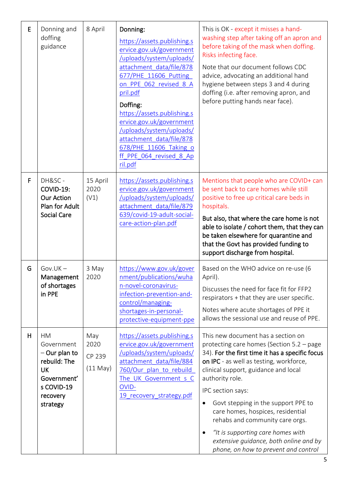| E | Donning and<br>doffing<br>guidance                                                                                    | 8 April                             | Donning:<br>https://assets.publishing.s<br>ervice.gov.uk/government<br>/uploads/system/uploads/<br>attachment data/file/878<br>677/PHE 11606 Putting<br>on PPE 062 revised 8 A<br>pril.pdf<br>Doffing:<br>https://assets.publishing.s<br>ervice.gov.uk/government<br>/uploads/system/uploads/<br>attachment data/file/878<br>678/PHE 11606 Taking o<br>ff PPE 064 revised 8 Ap<br>ril.pdf | This is OK - except it misses a hand-<br>washing step after taking off an apron and<br>before taking of the mask when doffing.<br>Risks infecting face.<br>Note that our document follows CDC<br>advice, advocating an additional hand<br>hygiene between steps 3 and 4 during<br>doffing (i.e. after removing apron, and<br>before putting hands near face).                                                                                                                                                                 |
|---|-----------------------------------------------------------------------------------------------------------------------|-------------------------------------|-------------------------------------------------------------------------------------------------------------------------------------------------------------------------------------------------------------------------------------------------------------------------------------------------------------------------------------------------------------------------------------------|-------------------------------------------------------------------------------------------------------------------------------------------------------------------------------------------------------------------------------------------------------------------------------------------------------------------------------------------------------------------------------------------------------------------------------------------------------------------------------------------------------------------------------|
| F | DH&SC-<br>COVID-19:<br><b>Our Action</b><br>Plan for Adult<br><b>Social Care</b>                                      | 15 April<br>2020<br>(V1)            | https://assets.publishing.s<br>ervice.gov.uk/government<br>/uploads/system/uploads/<br>attachment data/file/879<br>639/covid-19-adult-social-<br>care-action-plan.pdf                                                                                                                                                                                                                     | Mentions that people who are COVID+ can<br>be sent back to care homes while still<br>positive to free up critical care beds in<br>hospitals.<br>But also, that where the care home is not<br>able to isolate / cohort them, that they can<br>be taken elsewhere for quarantine and<br>that the Govt has provided funding to<br>support discharge from hospital.                                                                                                                                                               |
| G | $Gov.UK -$<br>Management<br>of shortages<br>in PPE                                                                    | 3 May<br>2020                       | https://www.gov.uk/gover<br>nment/publications/wuha<br>n-novel-coronavirus-<br>infection-prevention-and-<br>control/managing-<br>shortages-in-personal-<br>protective-equipment-ppe                                                                                                                                                                                                       | Based on the WHO advice on re-use (6<br>April).<br>Discusses the need for face fit for FFP2<br>respirators + that they are user specific.<br>Notes where acute shortages of PPE it<br>allows the sessional use and reuse of PPE.                                                                                                                                                                                                                                                                                              |
| H | <b>HM</b><br>Government<br>$-$ Our plan to<br>rebuild: The<br>UK<br>Government'<br>s COVID-19<br>recovery<br>strategy | May<br>2020<br>CP 239<br>$(11$ May) | https://assets.publishing.s<br>ervice.gov.uk/government<br>/uploads/system/uploads/<br>attachment data/file/884<br>760/Our plan to rebuild<br>The UK Government s C<br>OVID-<br>19 recovery strategy.pdf                                                                                                                                                                                  | This new document has a section on<br>protecting care homes (Section 5.2 - page<br>34). For the first time it has a specific focus<br>on IPC - as well as testing, workforce,<br>clinical support, guidance and local<br>authority role.<br>IPC section says:<br>Govt stepping in the support PPE to<br>$\bullet$<br>care homes, hospices, residential<br>rehabs and community care orgs.<br>"It is supporting care homes with<br>$\bullet$<br>extensive guidance, both online and by<br>phone, on how to prevent and control |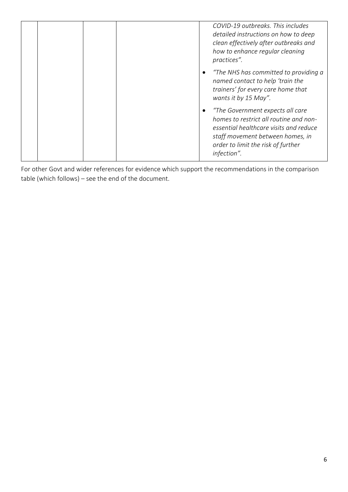|  |  | COVID-19 outbreaks. This includes<br>detailed instructions on how to deep<br>clean effectively after outbreaks and<br>how to enhance regular cleaning<br>practices".                                          |
|--|--|---------------------------------------------------------------------------------------------------------------------------------------------------------------------------------------------------------------|
|  |  | "The NHS has committed to providing a<br>named contact to help 'train the<br>trainers' for every care home that<br>wants it by 15 May".                                                                       |
|  |  | "The Government expects all care<br>homes to restrict all routine and non-<br>essential healthcare visits and reduce<br>staff movement between homes, in<br>order to limit the risk of further<br>infection". |

For other Govt and wider references for evidence which support the recommendations in the comparison table (which follows) – see the end of the document.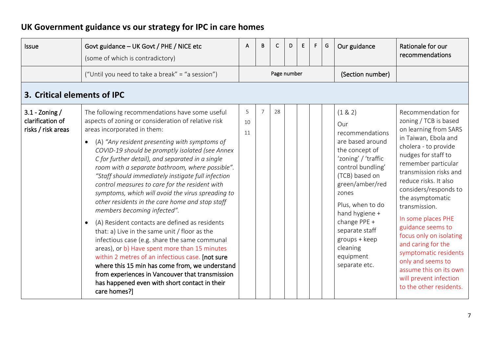# **UK Government guidance vs our strategy for IPC in care homes**

<span id="page-6-2"></span><span id="page-6-1"></span><span id="page-6-0"></span>

| <b>Issue</b>                                               | Govt guidance - UK Govt / PHE / NICE etc<br>(some of which is contradictory)                                                                                                                                                                                                                                                                                                                                                                                                                                                                                                                                                                                                                                                                                                                                                                                                                                                                                                                                                  | A             | B | C           | D | E | F. | G | Our guidance                                                                                                                                                                                                                                                                                         | Rationale for our<br>recommendations                                                                                                                                                                                                                                                                                                                                                                                                                                                                         |
|------------------------------------------------------------|-------------------------------------------------------------------------------------------------------------------------------------------------------------------------------------------------------------------------------------------------------------------------------------------------------------------------------------------------------------------------------------------------------------------------------------------------------------------------------------------------------------------------------------------------------------------------------------------------------------------------------------------------------------------------------------------------------------------------------------------------------------------------------------------------------------------------------------------------------------------------------------------------------------------------------------------------------------------------------------------------------------------------------|---------------|---|-------------|---|---|----|---|------------------------------------------------------------------------------------------------------------------------------------------------------------------------------------------------------------------------------------------------------------------------------------------------------|--------------------------------------------------------------------------------------------------------------------------------------------------------------------------------------------------------------------------------------------------------------------------------------------------------------------------------------------------------------------------------------------------------------------------------------------------------------------------------------------------------------|
|                                                            | ("Until you need to take a break" = "a session")                                                                                                                                                                                                                                                                                                                                                                                                                                                                                                                                                                                                                                                                                                                                                                                                                                                                                                                                                                              |               |   | Page number |   |   |    |   | (Section number)                                                                                                                                                                                                                                                                                     |                                                                                                                                                                                                                                                                                                                                                                                                                                                                                                              |
| 3. Critical elements of IPC                                |                                                                                                                                                                                                                                                                                                                                                                                                                                                                                                                                                                                                                                                                                                                                                                                                                                                                                                                                                                                                                               |               |   |             |   |   |    |   |                                                                                                                                                                                                                                                                                                      |                                                                                                                                                                                                                                                                                                                                                                                                                                                                                                              |
| $3.1 -$ Zoning /<br>clarification of<br>risks / risk areas | The following recommendations have some useful<br>aspects of zoning or consideration of relative risk<br>areas incorporated in them:<br>(A) "Any resident presenting with symptoms of<br>COVID-19 should be promptly isolated (see Annex<br>C for further detail), and separated in a single<br>room with a separate bathroom, where possible".<br>"Staff should immediately instigate full infection<br>control measures to care for the resident with<br>symptoms, which will avoid the virus spreading to<br>other residents in the care home and stop staff<br>members becoming infected".<br>(A) Resident contacts are defined as residents<br>that: a) Live in the same unit / floor as the<br>infectious case (e.g. share the same communal<br>areas), or b) Have spent more than 15 minutes<br>within 2 metres of an infectious case. [not sure<br>where this 15 min has come from, we understand<br>from experiences in Vancouver that transmission<br>has happened even with short contact in their<br>care homes?] | 5<br>10<br>11 | 7 | 28          |   |   |    |   | (1 & 2)<br>Qur<br>recommendations<br>are based around<br>the concept of<br>'zoning' / 'traffic<br>control bundling'<br>(TCB) based on<br>green/amber/red<br>zones<br>Plus, when to do<br>hand hygiene +<br>change PPE +<br>separate staff<br>groups + keep<br>cleaning<br>equipment<br>separate etc. | Recommendation for<br>zoning / TCB is based<br>on learning from SARS<br>in Taiwan, Ebola and<br>cholera - to provide<br>nudges for staff to<br>remember particular<br>transmission risks and<br>reduce risks. It also<br>considers/responds to<br>the asymptomatic<br>transmission.<br>In some places PHE<br>guidance seems to<br>focus only on isolating<br>and caring for the<br>symptomatic residents<br>only and seems to<br>assume this on its own<br>will prevent infection<br>to the other residents. |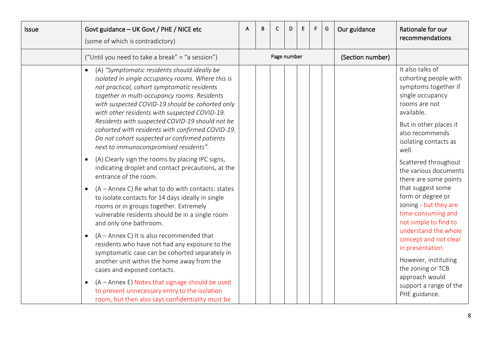| <b>Issue</b> | Govt guidance - UK Govt / PHE / NICE etc<br>(some of which is contradictory)                                                                                                                                                                                                                                                                                                                                                                                                                                                                                                                                                                                                                                                                                                                                                                                                           | A | B | C           | D | E. | F. | G | Our guidance     | Rationale for our<br>recommendations                                                                                                                                                                                                                                                                                                                                                            |
|--------------|----------------------------------------------------------------------------------------------------------------------------------------------------------------------------------------------------------------------------------------------------------------------------------------------------------------------------------------------------------------------------------------------------------------------------------------------------------------------------------------------------------------------------------------------------------------------------------------------------------------------------------------------------------------------------------------------------------------------------------------------------------------------------------------------------------------------------------------------------------------------------------------|---|---|-------------|---|----|----|---|------------------|-------------------------------------------------------------------------------------------------------------------------------------------------------------------------------------------------------------------------------------------------------------------------------------------------------------------------------------------------------------------------------------------------|
|              | ("Until you need to take a break" = "a session")                                                                                                                                                                                                                                                                                                                                                                                                                                                                                                                                                                                                                                                                                                                                                                                                                                       |   |   | Page number |   |    |    |   | (Section number) |                                                                                                                                                                                                                                                                                                                                                                                                 |
|              | (A) "Symptomatic residents should ideally be<br>isolated in single occupancy rooms. Where this is<br>not practical, cohort symptomatic residents<br>together in multi-occupancy rooms. Residents<br>with suspected COVID-19 should be cohorted only<br>with other residents with suspected COVID-19.<br>Residents with suspected COVID-19 should not be<br>cohorted with residents with confirmed COVID-19.<br>Do not cohort suspected or confirmed patients<br>next to immunocompromised residents".<br>(A) Clearly sign the rooms by placing IPC signs,<br>indicating droplet and contact precautions, at the<br>entrance of the room.<br>(A – Annex C) Re what to do with contacts: states<br>$\bullet$<br>to isolate contacts for 14 days ideally in single<br>rooms or in groups together. Extremely<br>vulnerable residents should be in a single room<br>and only one bathroom. |   |   |             |   |    |    |   |                  | It also talks of<br>cohorting people with<br>symptoms together if<br>single occupancy<br>rooms are not<br>available.<br>But in other places it<br>also recommends<br>isolating contacts as<br>well.<br>Scattered throughout<br>the various documents<br>there are some points<br>that suggest some<br>form or degree or<br>zoning - but they are<br>time-consuming and<br>not simple to find to |
|              | (A - Annex C) It is also recommended that<br>$\bullet$<br>residents who have not had any exposure to the<br>symptomatic case can be cohorted separately in<br>another unit within the home away from the<br>cases and exposed contacts.<br>(A - Annex E) Notes that signage should be used<br>$\bullet$<br>to prevent unnecessary entry to the isolation<br>room, but then also says confidentiality must be                                                                                                                                                                                                                                                                                                                                                                                                                                                                           |   |   |             |   |    |    |   |                  | understand the whole<br>concept and not clear<br>in presentation.<br>However, instituting<br>the zoning or TCB<br>approach would<br>support a range of the<br>PHE guidance.                                                                                                                                                                                                                     |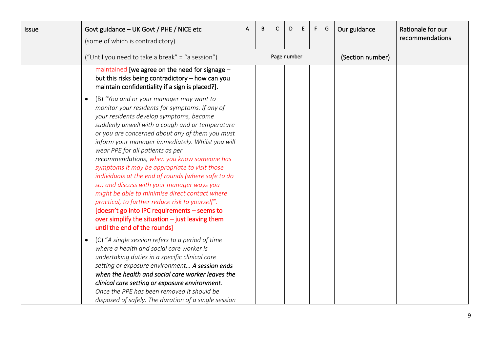| <b>Issue</b> | Govt guidance - UK Govt / PHE / NICE etc<br>(some of which is contradictory)                                                                                                                                                                                                                                                                                                                                                                                                                                                                                                                                                                                                                                                                                                                  | A | В | C           | D | Ε | F. | G | Our guidance     | Rationale for our<br>recommendations |
|--------------|-----------------------------------------------------------------------------------------------------------------------------------------------------------------------------------------------------------------------------------------------------------------------------------------------------------------------------------------------------------------------------------------------------------------------------------------------------------------------------------------------------------------------------------------------------------------------------------------------------------------------------------------------------------------------------------------------------------------------------------------------------------------------------------------------|---|---|-------------|---|---|----|---|------------------|--------------------------------------|
|              | ("Until you need to take a break" = "a session")                                                                                                                                                                                                                                                                                                                                                                                                                                                                                                                                                                                                                                                                                                                                              |   |   | Page number |   |   |    |   | (Section number) |                                      |
|              | maintained [we agree on the need for signage $-$<br>but this risks being contradictory - how can you<br>maintain confidentiality if a sign is placed?].                                                                                                                                                                                                                                                                                                                                                                                                                                                                                                                                                                                                                                       |   |   |             |   |   |    |   |                  |                                      |
|              | (B) "You and or your manager may want to<br>$\bullet$<br>monitor your residents for symptoms. If any of<br>your residents develop symptoms, become<br>suddenly unwell with a cough and or temperature<br>or you are concerned about any of them you must<br>inform your manager immediately. Whilst you will<br>wear PPE for all patients as per<br>recommendations, when you know someone has<br>symptoms it may be appropriate to visit those<br>individuals at the end of rounds (where safe to do<br>so) and discuss with your manager ways you<br>might be able to minimise direct contact where<br>practical, to further reduce risk to yourself".<br>[doesn't go into IPC requirements - seems to<br>over simplify the situation $-$ just leaving them<br>until the end of the rounds] |   |   |             |   |   |    |   |                  |                                      |
|              | (C) "A single session refers to a period of time<br>$\bullet$<br>where a health and social care worker is<br>undertaking duties in a specific clinical care<br>setting or exposure environment A session ends<br>when the health and social care worker leaves the<br>clinical care setting or exposure environment.<br>Once the PPE has been removed it should be<br>disposed of safely. The duration of a single session                                                                                                                                                                                                                                                                                                                                                                    |   |   |             |   |   |    |   |                  |                                      |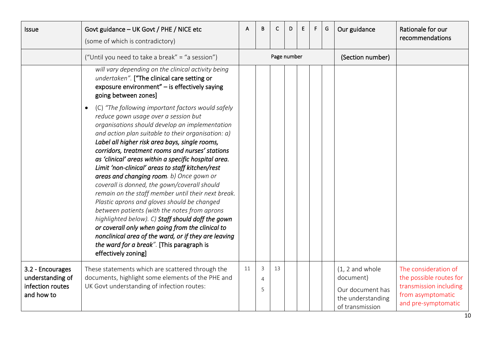<span id="page-9-0"></span>

| <b>Issue</b>                                                           | Govt guidance - UK Govt / PHE / NICE etc<br>(some of which is contradictory)                                                                                                                                                                                                                                                                                                                                                                                                                                                                                                                                                                                                                                                                                                                                                                                                                                          | A  | в           | C           | D. | E | F. | G | Our guidance                                                                               | Rationale for our<br>recommendations                                                                                  |
|------------------------------------------------------------------------|-----------------------------------------------------------------------------------------------------------------------------------------------------------------------------------------------------------------------------------------------------------------------------------------------------------------------------------------------------------------------------------------------------------------------------------------------------------------------------------------------------------------------------------------------------------------------------------------------------------------------------------------------------------------------------------------------------------------------------------------------------------------------------------------------------------------------------------------------------------------------------------------------------------------------|----|-------------|-------------|----|---|----|---|--------------------------------------------------------------------------------------------|-----------------------------------------------------------------------------------------------------------------------|
|                                                                        | ("Until you need to take a break" = "a session")                                                                                                                                                                                                                                                                                                                                                                                                                                                                                                                                                                                                                                                                                                                                                                                                                                                                      |    |             | Page number |    |   |    |   | (Section number)                                                                           |                                                                                                                       |
|                                                                        | will vary depending on the clinical activity being<br>undertaken". ["The clinical care setting or<br>exposure environment" - is effectively saying<br>going between zones]                                                                                                                                                                                                                                                                                                                                                                                                                                                                                                                                                                                                                                                                                                                                            |    |             |             |    |   |    |   |                                                                                            |                                                                                                                       |
|                                                                        | (C) "The following important factors would safely<br>$\bullet$<br>reduce gown usage over a session but<br>organisations should develop an implementation<br>and action plan suitable to their organisation: a)<br>Label all higher risk area bays, single rooms,<br>corridors, treatment rooms and nurses' stations<br>as 'clinical' areas within a specific hospital area.<br>Limit 'non-clinical' areas to staff kitchen/rest<br>areas and changing room. b) Once gown or<br>coverall is donned, the gown/coverall should<br>remain on the staff member until their next break.<br>Plastic aprons and gloves should be changed<br>between patients (with the notes from aprons<br>highlighted below). C) Staff should doff the gown<br>or coverall only when going from the clinical to<br>nonclinical area of the ward, or if they are leaving<br>the ward for a break". [This paragraph is<br>effectively zoning] |    |             |             |    |   |    |   |                                                                                            |                                                                                                                       |
| 3.2 - Encourages<br>understanding of<br>infection routes<br>and how to | These statements which are scattered through the<br>documents, highlight some elements of the PHE and<br>UK Govt understanding of infection routes:                                                                                                                                                                                                                                                                                                                                                                                                                                                                                                                                                                                                                                                                                                                                                                   | 11 | 3<br>4<br>5 | 13          |    |   |    |   | $(1, 2$ and whole<br>document)<br>Our document has<br>the understanding<br>of transmission | The consideration of<br>the possible routes for<br>transmission including<br>from asymptomatic<br>and pre-symptomatic |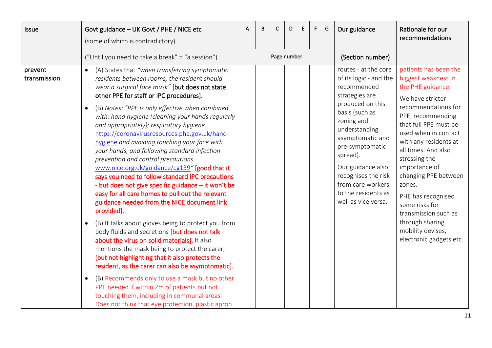| <b>Issue</b>            | Govt guidance - UK Govt / PHE / NICE etc<br>(some of which is contradictory)                                                                                                                                                                                                                                                                                                                                                                                                                                                                                                                                                                                                                                                                                                                                                                                                                                                                                                                                                                                                                                                                                                                                                                                                                                                                                                                  | A | B | C           | D. | E | F. | G | Our guidance                                                                                                                                                                                                                                                                                                           | Rationale for our<br>recommendations                                                                                                                                                                                                                                                                                                                                                                                                      |
|-------------------------|-----------------------------------------------------------------------------------------------------------------------------------------------------------------------------------------------------------------------------------------------------------------------------------------------------------------------------------------------------------------------------------------------------------------------------------------------------------------------------------------------------------------------------------------------------------------------------------------------------------------------------------------------------------------------------------------------------------------------------------------------------------------------------------------------------------------------------------------------------------------------------------------------------------------------------------------------------------------------------------------------------------------------------------------------------------------------------------------------------------------------------------------------------------------------------------------------------------------------------------------------------------------------------------------------------------------------------------------------------------------------------------------------|---|---|-------------|----|---|----|---|------------------------------------------------------------------------------------------------------------------------------------------------------------------------------------------------------------------------------------------------------------------------------------------------------------------------|-------------------------------------------------------------------------------------------------------------------------------------------------------------------------------------------------------------------------------------------------------------------------------------------------------------------------------------------------------------------------------------------------------------------------------------------|
|                         | ("Until you need to take a break" = "a session")                                                                                                                                                                                                                                                                                                                                                                                                                                                                                                                                                                                                                                                                                                                                                                                                                                                                                                                                                                                                                                                                                                                                                                                                                                                                                                                                              |   |   | Page number |    |   |    |   | (Section number)                                                                                                                                                                                                                                                                                                       |                                                                                                                                                                                                                                                                                                                                                                                                                                           |
| prevent<br>transmission | (A) States that "when transferring symptomatic<br>$\bullet$<br>residents between rooms, the resident should<br>wear a surgical face mask" [but does not state<br>other PPE for staff or IPC procedures].<br>(B) Notes: "PPE is only effective when combined<br>$\bullet$<br>with: hand hygiene (cleaning your hands regularly<br>and appropriately); respiratory hygiene<br>https://coronavirusresources.phe.gov.uk/hand-<br>hygiene and avoiding touching your face with<br>your hands, and following standard infection<br>prevention and control precautions.<br>www.nice.org.uk/guidance/cg139" [good that it<br>says you need to follow standard IPC precautions<br>- but does not give specific guidance - it won't be<br>easy for all care homes to pull out the relevant<br>guidance needed from the NICE document link<br>provided].<br>(B) It talks about gloves being to protect you from<br>$\bullet$<br>body fluids and secretions [but does not talk<br>about the virus on solid materials]. It also<br>mentions the mask being to protect the carer,<br>[but not highlighting that it also protects the<br>resident, as the carer can also be asymptomatic].<br>(B) Recommends only to use a mask but no other<br>$\bullet$<br>PPE needed if within 2m of patients but not<br>touching them, including in communal areas.<br>Does not think that eye protection, plastic apron |   |   |             |    |   |    |   | routes - at the core<br>of its logic - and the<br>recommended<br>strategies are<br>produced on this<br>basis (such as<br>zoning and<br>understanding<br>asymptomatic and<br>pre-symptomatic<br>spread).<br>Our guidance also<br>recognises the risk<br>from care workers<br>to the residents as<br>well as vice versa. | patients has been the<br>biggest weakness in<br>the PHE guidance.<br>We have stricter<br>recommendations for<br>PPE, recommending<br>that full PPE must be<br>used when in contact<br>with any residents at<br>all times. And also<br>stressing the<br>importance of<br>changing PPE between<br>zones.<br>PHE has recognised<br>some risks for<br>transmission such as<br>through sharing<br>mobility devises,<br>electronic gadgets etc. |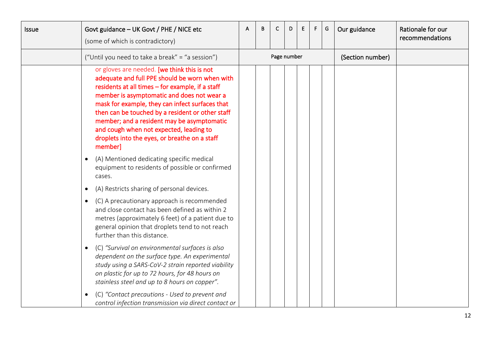| <b>Issue</b> |           | Govt guidance - UK Govt / PHE / NICE etc<br>(some of which is contradictory)                                                                                                                                                                                                                                                                                                                                                                                | B | С           | D | E | F. | G | Our guidance     | Rationale for our<br>recommendations |
|--------------|-----------|-------------------------------------------------------------------------------------------------------------------------------------------------------------------------------------------------------------------------------------------------------------------------------------------------------------------------------------------------------------------------------------------------------------------------------------------------------------|---|-------------|---|---|----|---|------------------|--------------------------------------|
|              |           | ("Until you need to take a break" = "a session")                                                                                                                                                                                                                                                                                                                                                                                                            |   | Page number |   |   |    |   | (Section number) |                                      |
|              |           | or gloves are needed. [we think this is not<br>adequate and full PPE should be worn when with<br>residents at all times - for example, if a staff<br>member is asymptomatic and does not wear a<br>mask for example, they can infect surfaces that<br>then can be touched by a resident or other staff<br>member; and a resident may be asymptomatic<br>and cough when not expected, leading to<br>droplets into the eyes, or breathe on a staff<br>member] |   |             |   |   |    |   |                  |                                      |
|              |           | (A) Mentioned dedicating specific medical<br>equipment to residents of possible or confirmed<br>cases.                                                                                                                                                                                                                                                                                                                                                      |   |             |   |   |    |   |                  |                                      |
|              | $\bullet$ | (A) Restricts sharing of personal devices.                                                                                                                                                                                                                                                                                                                                                                                                                  |   |             |   |   |    |   |                  |                                      |
|              | $\bullet$ | (C) A precautionary approach is recommended<br>and close contact has been defined as within 2<br>metres (approximately 6 feet) of a patient due to<br>general opinion that droplets tend to not reach<br>further than this distance.                                                                                                                                                                                                                        |   |             |   |   |    |   |                  |                                      |
|              |           | (C) "Survival on environmental surfaces is also<br>dependent on the surface type. An experimental<br>study using a SARS-CoV-2 strain reported viability<br>on plastic for up to 72 hours, for 48 hours on<br>stainless steel and up to 8 hours on copper".<br>(C) "Contact precautions - Used to prevent and                                                                                                                                                |   |             |   |   |    |   |                  |                                      |
|              |           | control infection transmission via direct contact or                                                                                                                                                                                                                                                                                                                                                                                                        |   |             |   |   |    |   |                  |                                      |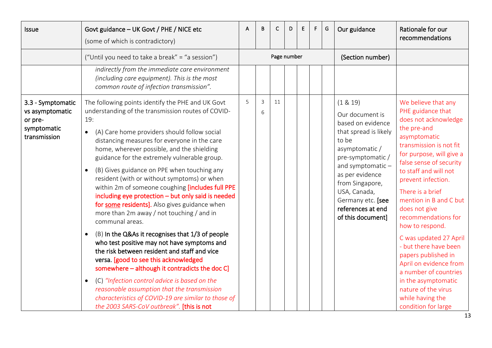<span id="page-12-0"></span>

| <b>Issue</b>                                                                   | Govt guidance - UK Govt / PHE / NICE etc<br>(some of which is contradictory)                                                                                                                                                                                                                                                                                                                                                                                                                                                                                                                                                                                                                                                                                                                                                                                                                                                                                                                                                                                                                                                                | A | B                   | C           | D | E | F. | G | Our guidance                                                                                                                                                                                                                                                          | Rationale for our<br>recommendations                                                                                                                                                                                                                                                                                                                                                                                                                                                                                                                            |
|--------------------------------------------------------------------------------|---------------------------------------------------------------------------------------------------------------------------------------------------------------------------------------------------------------------------------------------------------------------------------------------------------------------------------------------------------------------------------------------------------------------------------------------------------------------------------------------------------------------------------------------------------------------------------------------------------------------------------------------------------------------------------------------------------------------------------------------------------------------------------------------------------------------------------------------------------------------------------------------------------------------------------------------------------------------------------------------------------------------------------------------------------------------------------------------------------------------------------------------|---|---------------------|-------------|---|---|----|---|-----------------------------------------------------------------------------------------------------------------------------------------------------------------------------------------------------------------------------------------------------------------------|-----------------------------------------------------------------------------------------------------------------------------------------------------------------------------------------------------------------------------------------------------------------------------------------------------------------------------------------------------------------------------------------------------------------------------------------------------------------------------------------------------------------------------------------------------------------|
|                                                                                | ("Until you need to take a break" = "a session")                                                                                                                                                                                                                                                                                                                                                                                                                                                                                                                                                                                                                                                                                                                                                                                                                                                                                                                                                                                                                                                                                            |   |                     | Page number |   |   |    |   | (Section number)                                                                                                                                                                                                                                                      |                                                                                                                                                                                                                                                                                                                                                                                                                                                                                                                                                                 |
|                                                                                | indirectly from the immediate care environment<br>(including care equipment). This is the most<br>common route of infection transmission".                                                                                                                                                                                                                                                                                                                                                                                                                                                                                                                                                                                                                                                                                                                                                                                                                                                                                                                                                                                                  |   |                     |             |   |   |    |   |                                                                                                                                                                                                                                                                       |                                                                                                                                                                                                                                                                                                                                                                                                                                                                                                                                                                 |
| 3.3 - Symptomatic<br>vs asymptomatic<br>or pre-<br>symptomatic<br>transmission | The following points identify the PHE and UK Govt<br>understanding of the transmission routes of COVID-<br>19:<br>(A) Care home providers should follow social<br>$\bullet$<br>distancing measures for everyone in the care<br>home, wherever possible, and the shielding<br>guidance for the extremely vulnerable group.<br>(B) Gives guidance on PPE when touching any<br>$\bullet$<br>resident (with or without symptoms) or when<br>within 2m of someone coughing [includes full PPE<br>including eye protection - but only said is needed<br>for some residents]. Also gives guidance when<br>more than 2m away / not touching / and in<br>communal areas.<br>(B) In the Q&As it recognises that 1/3 of people<br>$\bullet$<br>who test positive may not have symptoms and<br>the risk between resident and staff and vice<br>versa. [good to see this acknowledged<br>somewhere - although it contradicts the doc C]<br>(C) "Infection control advice is based on the<br>$\bullet$<br>reasonable assumption that the transmission<br>characteristics of COVID-19 are similar to those of<br>the 2003 SARS-CoV outbreak". [this is not | 5 | $\overline{3}$<br>6 | 11          |   |   |    |   | (1 & 8 & 19)<br>Our document is<br>based on evidence<br>that spread is likely<br>to be<br>asymptomatic/<br>pre-symptomatic/<br>and symptomatic -<br>as per evidence<br>from Singapore,<br>USA, Canada,<br>Germany etc. [see<br>references at end<br>of this document] | We believe that any<br>PHE guidance that<br>does not acknowledge<br>the pre-and<br>asymptomatic<br>transmission is not fit<br>for purpose, will give a<br>false sense of security<br>to staff and will not<br>prevent infection.<br>There is a brief<br>mention in B and C but<br>does not give<br>recommendations for<br>how to respond.<br>C was updated 27 April<br>- but there have been<br>papers published in<br>April on evidence from<br>a number of countries<br>in the asymptomatic<br>nature of the virus<br>while having the<br>condition for large |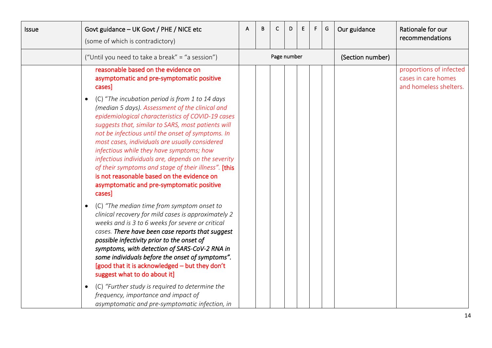| <b>Issue</b> | Govt guidance - UK Govt / PHE / NICE etc<br>(some of which is contradictory)                                                                                                                                                                                                                                                                                                                                                                                                                                                                                                              | A | B | C           | D | E | F | G | Our guidance     | Rationale for our<br>recommendations                                     |
|--------------|-------------------------------------------------------------------------------------------------------------------------------------------------------------------------------------------------------------------------------------------------------------------------------------------------------------------------------------------------------------------------------------------------------------------------------------------------------------------------------------------------------------------------------------------------------------------------------------------|---|---|-------------|---|---|---|---|------------------|--------------------------------------------------------------------------|
|              | ("Until you need to take a break" = "a session")                                                                                                                                                                                                                                                                                                                                                                                                                                                                                                                                          |   |   | Page number |   |   |   |   | (Section number) |                                                                          |
|              | reasonable based on the evidence on<br>asymptomatic and pre-symptomatic positive<br>cases]                                                                                                                                                                                                                                                                                                                                                                                                                                                                                                |   |   |             |   |   |   |   |                  | proportions of infected<br>cases in care homes<br>and homeless shelters. |
|              | (C) "The incubation period is from 1 to 14 days<br>(median 5 days). Assessment of the clinical and<br>epidemiological characteristics of COVID-19 cases<br>suggests that, similar to SARS, most patients will<br>not be infectious until the onset of symptoms. In<br>most cases, individuals are usually considered<br>infectious while they have symptoms; how<br>infectious individuals are, depends on the severity<br>of their symptoms and stage of their illness". [this<br>is not reasonable based on the evidence on<br>asymptomatic and pre-symptomatic positive<br>cases]      |   |   |             |   |   |   |   |                  |                                                                          |
|              | (C) "The median time from symptom onset to<br>clinical recovery for mild cases is approximately 2<br>weeks and is 3 to 6 weeks for severe or critical<br>cases. There have been case reports that suggest<br>possible infectivity prior to the onset of<br>symptoms, with detection of SARS-CoV-2 RNA in<br>some individuals before the onset of symptoms".<br>[good that it is acknowledged - but they don't<br>suggest what to do about it]<br>(C) "Further study is required to determine the<br>frequency, importance and impact of<br>asymptomatic and pre-symptomatic infection, in |   |   |             |   |   |   |   |                  |                                                                          |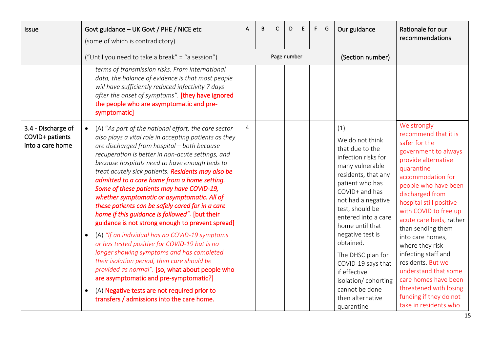<span id="page-14-0"></span>

| <b>Issue</b>                                              | Govt guidance - UK Govt / PHE / NICE etc<br>(some of which is contradictory)                                                                                                                                                                                                                                                                                                                                                                                                                                                                                                                                                                                                                                                                                                                                                                                                                                                                                                                                                                       | A              | B | C           | D | E | F. | G | Our guidance                                                                                                                                                                                                                                                                                                                                                                                              | Rationale for our<br>recommendations                                                                                                                                                                                                                                                                                                                                                                                                                                                                  |
|-----------------------------------------------------------|----------------------------------------------------------------------------------------------------------------------------------------------------------------------------------------------------------------------------------------------------------------------------------------------------------------------------------------------------------------------------------------------------------------------------------------------------------------------------------------------------------------------------------------------------------------------------------------------------------------------------------------------------------------------------------------------------------------------------------------------------------------------------------------------------------------------------------------------------------------------------------------------------------------------------------------------------------------------------------------------------------------------------------------------------|----------------|---|-------------|---|---|----|---|-----------------------------------------------------------------------------------------------------------------------------------------------------------------------------------------------------------------------------------------------------------------------------------------------------------------------------------------------------------------------------------------------------------|-------------------------------------------------------------------------------------------------------------------------------------------------------------------------------------------------------------------------------------------------------------------------------------------------------------------------------------------------------------------------------------------------------------------------------------------------------------------------------------------------------|
|                                                           | ("Until you need to take a break" = "a session")                                                                                                                                                                                                                                                                                                                                                                                                                                                                                                                                                                                                                                                                                                                                                                                                                                                                                                                                                                                                   |                |   | Page number |   |   |    |   | (Section number)                                                                                                                                                                                                                                                                                                                                                                                          |                                                                                                                                                                                                                                                                                                                                                                                                                                                                                                       |
|                                                           | terms of transmission risks. From international<br>data, the balance of evidence is that most people<br>will have sufficiently reduced infectivity 7 days<br>after the onset of symptoms". [they have ignored<br>the people who are asymptomatic and pre-<br>symptomatic]                                                                                                                                                                                                                                                                                                                                                                                                                                                                                                                                                                                                                                                                                                                                                                          |                |   |             |   |   |    |   |                                                                                                                                                                                                                                                                                                                                                                                                           |                                                                                                                                                                                                                                                                                                                                                                                                                                                                                                       |
| 3.4 - Discharge of<br>COVID+ patients<br>into a care home | (A) "As part of the national effort, the care sector<br>also plays a vital role in accepting patients as they<br>are discharged from hospital - both because<br>recuperation is better in non-acute settings, and<br>because hospitals need to have enough beds to<br>treat acutely sick patients. Residents may also be<br>admitted to a care home from a home setting.<br>Some of these patients may have COVID-19,<br>whether symptomatic or asymptomatic. All of<br>these patients can be safely cared for in a care<br>home if this guidance is followed". [but their<br>guidance is not strong enough to prevent spread]<br>(A) "If an individual has no COVID-19 symptoms<br>$\bullet$<br>or has tested positive for COVID-19 but is no<br>longer showing symptoms and has completed<br>their isolation period, then care should be<br>provided as normal". [so, what about people who<br>are asymptomatic and pre-symptomatic?]<br>(A) Negative tests are not required prior to<br>$\bullet$<br>transfers / admissions into the care home. | $\overline{4}$ |   |             |   |   |    |   | (1)<br>We do not think<br>that due to the<br>infection risks for<br>many vulnerable<br>residents, that any<br>patient who has<br>COVID+ and has<br>not had a negative<br>test, should be<br>entered into a care<br>home until that<br>negative test is<br>obtained.<br>The DHSC plan for<br>COVID-19 says that<br>if effective<br>isolation/cohorting<br>cannot be done<br>then alternative<br>quarantine | We strongly<br>recommend that it is<br>safer for the<br>government to always<br>provide alternative<br>quarantine<br>accommodation for<br>people who have been<br>discharged from<br>hospital still positive<br>with COVID to free up<br>acute care beds, rather<br>than sending them<br>into care homes,<br>where they risk<br>infecting staff and<br>residents. But we<br>understand that some<br>care homes have been<br>threatened with losing<br>funding if they do not<br>take in residents who |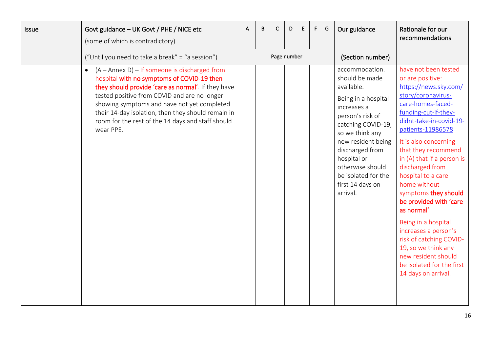| Issue | Govt guidance - UK Govt / PHE / NICE etc<br>(some of which is contradictory)                                                                                                                                                                                                                                                                                               | A | B | C           | D | E | F | G | Our guidance                                                                                                                                                                                                                                                                         | Rationale for our<br>recommendations                                                                                                                                                                                                                                                                                                                                                                                                                                                                                                                                     |
|-------|----------------------------------------------------------------------------------------------------------------------------------------------------------------------------------------------------------------------------------------------------------------------------------------------------------------------------------------------------------------------------|---|---|-------------|---|---|---|---|--------------------------------------------------------------------------------------------------------------------------------------------------------------------------------------------------------------------------------------------------------------------------------------|--------------------------------------------------------------------------------------------------------------------------------------------------------------------------------------------------------------------------------------------------------------------------------------------------------------------------------------------------------------------------------------------------------------------------------------------------------------------------------------------------------------------------------------------------------------------------|
|       | ("Until you need to take a break" = "a session")                                                                                                                                                                                                                                                                                                                           |   |   | Page number |   |   |   |   | (Section number)                                                                                                                                                                                                                                                                     |                                                                                                                                                                                                                                                                                                                                                                                                                                                                                                                                                                          |
|       | $(A -$ Annex D) – If someone is discharged from<br>hospital with no symptoms of COVID-19 then<br>they should provide 'care as normal'. If they have<br>tested positive from COVID and are no longer<br>showing symptoms and have not yet completed<br>their 14-day isolation, then they should remain in<br>room for the rest of the 14 days and staff should<br>wear PPE. |   |   |             |   |   |   |   | accommodation.<br>should be made<br>available.<br>Being in a hospital<br>increases a<br>person's risk of<br>catching COVID-19,<br>so we think any<br>new resident being<br>discharged from<br>hospital or<br>otherwise should<br>be isolated for the<br>first 14 days on<br>arrival. | have not been tested<br>or are positive:<br>https://news.sky.com/<br>story/coronavirus-<br>care-homes-faced-<br>funding-cut-if-they-<br>didnt-take-in-covid-19-<br>patients-11986578<br>It is also concerning<br>that they recommend<br>in (A) that if a person is<br>discharged from<br>hospital to a care<br>home without<br>symptoms they should<br>be provided with 'care<br>as normal'.<br>Being in a hospital<br>increases a person's<br>risk of catching COVID-<br>19, so we think any<br>new resident should<br>be isolated for the first<br>14 days on arrival. |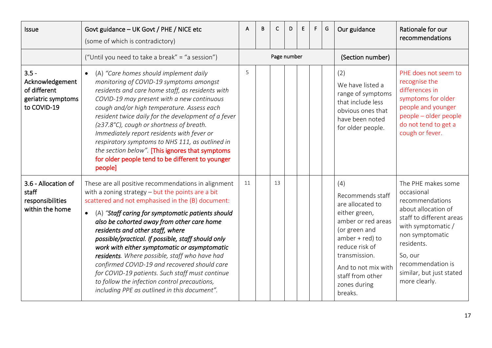<span id="page-16-1"></span><span id="page-16-0"></span>

| <b>Issue</b>                                                                    | Govt guidance - UK Govt / PHE / NICE etc<br>(some of which is contradictory)                                                                                                                                                                                                                                                                                                                                                                                                                                                                                                                                                                                                  | A  | B | C           | D | E | F. | G | Our guidance                                                                                                                                                                                                                      | Rationale for our<br>recommendations                                                                                                                                                                                                       |
|---------------------------------------------------------------------------------|-------------------------------------------------------------------------------------------------------------------------------------------------------------------------------------------------------------------------------------------------------------------------------------------------------------------------------------------------------------------------------------------------------------------------------------------------------------------------------------------------------------------------------------------------------------------------------------------------------------------------------------------------------------------------------|----|---|-------------|---|---|----|---|-----------------------------------------------------------------------------------------------------------------------------------------------------------------------------------------------------------------------------------|--------------------------------------------------------------------------------------------------------------------------------------------------------------------------------------------------------------------------------------------|
|                                                                                 | ("Until you need to take a break" = "a session")                                                                                                                                                                                                                                                                                                                                                                                                                                                                                                                                                                                                                              |    |   | Page number |   |   |    |   | (Section number)                                                                                                                                                                                                                  |                                                                                                                                                                                                                                            |
| $3.5 -$<br>Acknowledgement<br>of different<br>geriatric symptoms<br>to COVID-19 | (A) "Care homes should implement daily<br>monitoring of COVID-19 symptoms amongst<br>residents and care home staff, as residents with<br>COVID-19 may present with a new continuous<br>cough and/or high temperature. Assess each<br>resident twice daily for the development of a fever<br>(≥37.8°C), cough or shortness of breath.<br>Immediately report residents with fever or<br>respiratory symptoms to NHS 111, as outlined in<br>the section below". [This ignores that symptoms<br>for older people tend to be different to younger<br>people]                                                                                                                       | 5  |   |             |   |   |    |   | (2)<br>We have listed a<br>range of symptoms<br>that include less<br>obvious ones that<br>have been noted<br>for older people.                                                                                                    | PHE does not seem to<br>recognise the<br>differences in<br>symptoms for older<br>people and younger<br>people - older people<br>do not tend to get a<br>cough or fever.                                                                    |
| 3.6 - Allocation of<br>staff<br>responsibilities<br>within the home             | These are all positive recommendations in alignment<br>with a zoning strategy $-$ but the points are a bit<br>scattered and not emphasised in the (B) document:<br>(A) "Staff caring for symptomatic patients should<br>$\bullet$<br>also be cohorted away from other care home<br>residents and other staff, where<br>possible/practical. If possible, staff should only<br>work with either symptomatic or asymptomatic<br>residents. Where possible, staff who have had<br>confirmed COVID-19 and recovered should care<br>for COVID-19 patients. Such staff must continue<br>to follow the infection control precautions,<br>including PPE as outlined in this document". | 11 |   | 13          |   |   |    |   | (4)<br>Recommends staff<br>are allocated to<br>either green,<br>amber or red areas<br>(or green and<br>$amber + red)$ to<br>reduce risk of<br>transmission.<br>And to not mix with<br>staff from other<br>zones during<br>breaks. | The PHE makes some<br>occasional<br>recommendations<br>about allocation of<br>staff to different areas<br>with symptomatic /<br>non symptomatic<br>residents.<br>So, our<br>recommendation is<br>similar, but just stated<br>more clearly. |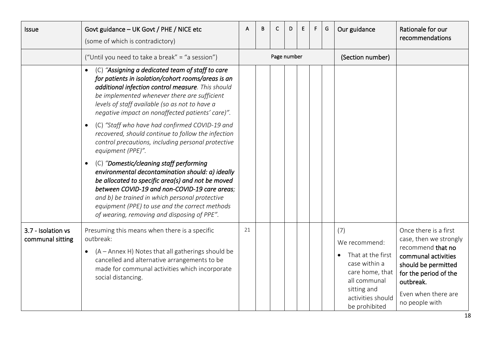<span id="page-17-0"></span>

| <b>Issue</b>                           | Govt guidance - UK Govt / PHE / NICE etc<br>(some of which is contradictory)                                                                                                                                                                                                                                                                                      | A  | B | C           | D | Е | F. | G | Our guidance                                                                                                                                       | Rationale for our<br>recommendations                                                                                                                                                              |
|----------------------------------------|-------------------------------------------------------------------------------------------------------------------------------------------------------------------------------------------------------------------------------------------------------------------------------------------------------------------------------------------------------------------|----|---|-------------|---|---|----|---|----------------------------------------------------------------------------------------------------------------------------------------------------|---------------------------------------------------------------------------------------------------------------------------------------------------------------------------------------------------|
|                                        | ("Until you need to take a break" = "a session")                                                                                                                                                                                                                                                                                                                  |    |   | Page number |   |   |    |   | (Section number)                                                                                                                                   |                                                                                                                                                                                                   |
|                                        | (C) "Assigning a dedicated team of staff to care<br>for patients in isolation/cohort rooms/areas is an<br>additional infection control measure. This should<br>be implemented whenever there are sufficient<br>levels of staff available (so as not to have a<br>negative impact on nonaffected patients' care)".                                                 |    |   |             |   |   |    |   |                                                                                                                                                    |                                                                                                                                                                                                   |
|                                        | (C) "Staff who have had confirmed COVID-19 and<br>recovered, should continue to follow the infection<br>control precautions, including personal protective<br>equipment (PPE)".                                                                                                                                                                                   |    |   |             |   |   |    |   |                                                                                                                                                    |                                                                                                                                                                                                   |
|                                        | (C) "Domestic/cleaning staff performing<br>$\bullet$<br>environmental decontamination should: a) ideally<br>be allocated to specific area(s) and not be moved<br>between COVID-19 and non-COVID-19 care areas:<br>and b) be trained in which personal protective<br>equipment (PPE) to use and the correct methods<br>of wearing, removing and disposing of PPE". |    |   |             |   |   |    |   |                                                                                                                                                    |                                                                                                                                                                                                   |
| 3.7 - Isolation vs<br>communal sitting | Presuming this means when there is a specific<br>outbreak:<br>(A - Annex H) Notes that all gatherings should be<br>cancelled and alternative arrangements to be<br>made for communal activities which incorporate<br>social distancing.                                                                                                                           | 21 |   |             |   |   |    |   | (7)<br>We recommend:<br>That at the first<br>case within a<br>care home, that<br>all communal<br>sitting and<br>activities should<br>be prohibited | Once there is a first<br>case, then we strongly<br>recommend that no<br>communal activities<br>should be permitted<br>for the period of the<br>outbreak.<br>Even when there are<br>no people with |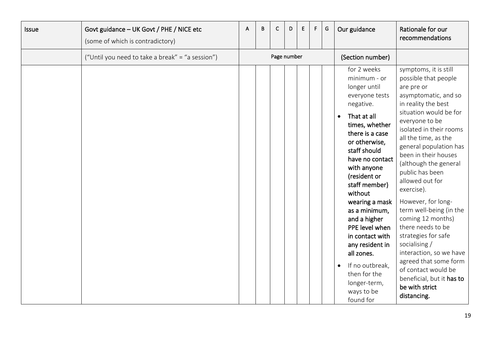| <b>Issue</b> | Govt guidance - UK Govt / PHE / NICE etc<br>(some of which is contradictory) | A | B | $\mathsf{C}$ | D. | E | F. | G | Our guidance                                                                                                                                                                                                                                                                                                                                                                                                                                         | Rationale for our<br>recommendations                                                                                                                                                                                                                                                                                                                                                                                                                                                                                                                                                                                 |
|--------------|------------------------------------------------------------------------------|---|---|--------------|----|---|----|---|------------------------------------------------------------------------------------------------------------------------------------------------------------------------------------------------------------------------------------------------------------------------------------------------------------------------------------------------------------------------------------------------------------------------------------------------------|----------------------------------------------------------------------------------------------------------------------------------------------------------------------------------------------------------------------------------------------------------------------------------------------------------------------------------------------------------------------------------------------------------------------------------------------------------------------------------------------------------------------------------------------------------------------------------------------------------------------|
|              | ("Until you need to take a break" = "a session")                             |   |   | Page number  |    |   |    |   | (Section number)                                                                                                                                                                                                                                                                                                                                                                                                                                     |                                                                                                                                                                                                                                                                                                                                                                                                                                                                                                                                                                                                                      |
|              |                                                                              |   |   |              |    |   |    |   | for 2 weeks<br>minimum - or<br>longer until<br>everyone tests<br>negative.<br>That at all<br>times, whether<br>there is a case<br>or otherwise,<br>staff should<br>have no contact<br>with anyone<br>(resident or<br>staff member)<br>without<br>wearing a mask<br>as a minimum,<br>and a higher<br>PPE level when<br>in contact with<br>any resident in<br>all zones.<br>If no outbreak,<br>then for the<br>longer-term,<br>ways to be<br>found for | symptoms, it is still<br>possible that people<br>are pre or<br>asymptomatic, and so<br>in reality the best<br>situation would be for<br>everyone to be<br>isolated in their rooms<br>all the time, as the<br>general population has<br>been in their houses<br>(although the general<br>public has been<br>allowed out for<br>exercise).<br>However, for long-<br>term well-being (in the<br>coming 12 months)<br>there needs to be<br>strategies for safe<br>socialising /<br>interaction, so we have<br>agreed that some form<br>of contact would be<br>beneficial, but it has to<br>be with strict<br>distancing. |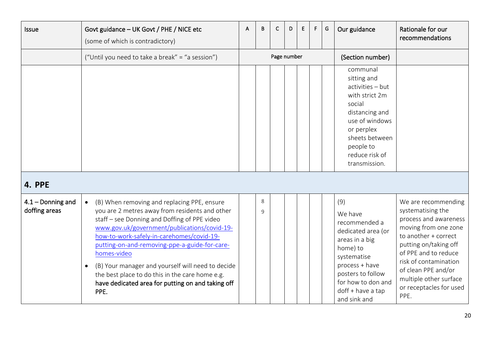<span id="page-19-1"></span><span id="page-19-0"></span>

| Issue                                | Govt guidance - UK Govt / PHE / NICE etc<br>(some of which is contradictory)                                                                                                                                                                                                                                                                                                                                                                                                                 | A | B                       | C           | D | E | F | G | Our guidance                                                                                                                                                                                         | Rationale for our<br>recommendations                                                                                                                                                                                                                                            |
|--------------------------------------|----------------------------------------------------------------------------------------------------------------------------------------------------------------------------------------------------------------------------------------------------------------------------------------------------------------------------------------------------------------------------------------------------------------------------------------------------------------------------------------------|---|-------------------------|-------------|---|---|---|---|------------------------------------------------------------------------------------------------------------------------------------------------------------------------------------------------------|---------------------------------------------------------------------------------------------------------------------------------------------------------------------------------------------------------------------------------------------------------------------------------|
|                                      | ("Until you need to take a break" = "a session")                                                                                                                                                                                                                                                                                                                                                                                                                                             |   |                         | Page number |   |   |   |   | (Section number)                                                                                                                                                                                     |                                                                                                                                                                                                                                                                                 |
|                                      |                                                                                                                                                                                                                                                                                                                                                                                                                                                                                              |   |                         |             |   |   |   |   | communal<br>sitting and<br>activities - but<br>with strict 2m<br>social<br>distancing and<br>use of windows<br>or perplex<br>sheets between<br>people to<br>reduce risk of<br>transmission.          |                                                                                                                                                                                                                                                                                 |
| 4. PPE                               |                                                                                                                                                                                                                                                                                                                                                                                                                                                                                              |   |                         |             |   |   |   |   |                                                                                                                                                                                                      |                                                                                                                                                                                                                                                                                 |
| $4.1 -$ Donning and<br>doffing areas | (B) When removing and replacing PPE, ensure<br>$\bullet$<br>you are 2 metres away from residents and other<br>staff - see Donning and Doffing of PPE video<br>www.gov.uk/government/publications/covid-19-<br>how-to-work-safely-in-carehomes/covid-19-<br>putting-on-and-removing-ppe-a-guide-for-care-<br>homes-video<br>(B) Your manager and yourself will need to decide<br>the best place to do this in the care home e.g.<br>have dedicated area for putting on and taking off<br>PPE. |   | $\,8\,$<br>$\mathsf{q}$ |             |   |   |   |   | (9)<br>We have<br>recommended a<br>dedicated area (or<br>areas in a big<br>home) to<br>systematise<br>process + have<br>posters to follow<br>for how to don and<br>doff + have a tap<br>and sink and | We are recommending<br>systematising the<br>process and awareness<br>moving from one zone<br>to another + correct<br>putting on/taking off<br>of PPE and to reduce<br>risk of contamination<br>of clean PPE and/or<br>multiple other surface<br>or receptacles for used<br>PPE. |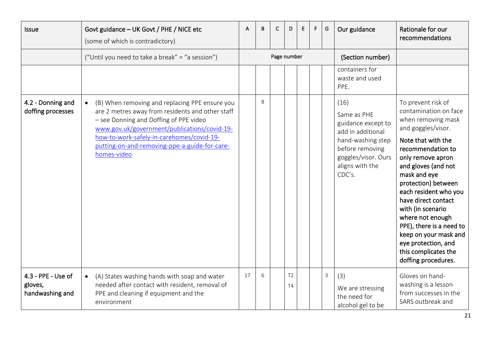<span id="page-20-1"></span><span id="page-20-0"></span>

| <b>Issue</b>                                     | Govt guidance - UK Govt / PHE / NICE etc<br>(some of which is contradictory)                                                                                                                                                                                                                              | Α  | B | C           | D                                | F | F. | G | Our guidance                                                                                                                                               | Rationale for our<br>recommendations                                                                                                                                                                                                                                                                                                                                                                                                      |
|--------------------------------------------------|-----------------------------------------------------------------------------------------------------------------------------------------------------------------------------------------------------------------------------------------------------------------------------------------------------------|----|---|-------------|----------------------------------|---|----|---|------------------------------------------------------------------------------------------------------------------------------------------------------------|-------------------------------------------------------------------------------------------------------------------------------------------------------------------------------------------------------------------------------------------------------------------------------------------------------------------------------------------------------------------------------------------------------------------------------------------|
|                                                  | ("Until you need to take a break" = "a session")                                                                                                                                                                                                                                                          |    |   | Page number |                                  |   |    |   | (Section number)                                                                                                                                           |                                                                                                                                                                                                                                                                                                                                                                                                                                           |
|                                                  |                                                                                                                                                                                                                                                                                                           |    |   |             |                                  |   |    |   | containers for<br>waste and used<br>PPE.                                                                                                                   |                                                                                                                                                                                                                                                                                                                                                                                                                                           |
| 4.2 - Donning and<br>doffing processes           | (B) When removing and replacing PPE ensure you<br>are 2 metres away from residents and other staff<br>- see Donning and Doffing of PPE video<br>www.gov.uk/government/publications/covid-19-<br>how-to-work-safely-in-carehomes/covid-19-<br>putting-on-and-removing-ppe-a-guide-for-care-<br>homes-video |    | 8 |             |                                  |   |    |   | (16)<br>Same as PHE<br>guidance except to<br>add in additional<br>hand-washing step<br>before removing<br>goggles/visor. Ours<br>aligns with the<br>CDC's. | To prevent risk of<br>contamination on face<br>when removing mask<br>and goggles/visor.<br>Note that with the<br>recommendation to<br>only remove apron<br>and gloves (and not<br>mask and eye<br>protection) between<br>each resident who you<br>have direct contact<br>with (in scenario<br>where not enough<br>PPE), there is a need to<br>keep on your mask and<br>eye protection, and<br>this complicates the<br>doffing procedures. |
| 4.3 - PPE - Use of<br>gloves,<br>handwashing and | (A) States washing hands with soap and water<br>$\bullet$<br>needed after contact with resident, removal of<br>PPE and cleaning if equipment and the<br>environment                                                                                                                                       | 17 | 6 |             | T <sub>2</sub><br>T <sub>4</sub> |   |    | 3 | (3)<br>We are stressing<br>the need for<br>alcohol gel to be                                                                                               | Gloves on hand-<br>washing is a lesson<br>from successes in the<br>SARS outbreak and                                                                                                                                                                                                                                                                                                                                                      |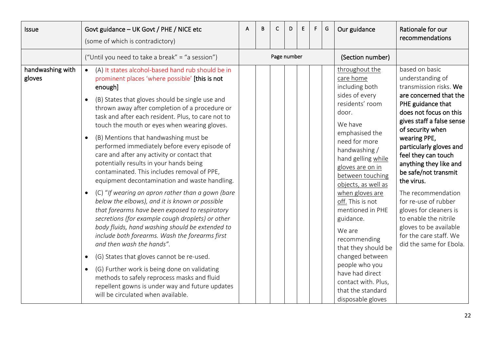| <b>Issue</b>               | Govt guidance - UK Govt / PHE / NICE etc<br>(some of which is contradictory)                                                                                                                                                                                                                                                                                                                                                                                                                                                                                                                                                                                                                                                                                                                                                                                                                                                                                                                                                                                                                                                                                                                                                                                       | A | B | C           | D | E. | F | G | Our guidance                                                                                                                                                                                                                                                                                                                                                                                                                                                                                      | Rationale for our<br>recommendations                                                                                                                                                                                                                                                                                                                                                                                                                                                                     |
|----------------------------|--------------------------------------------------------------------------------------------------------------------------------------------------------------------------------------------------------------------------------------------------------------------------------------------------------------------------------------------------------------------------------------------------------------------------------------------------------------------------------------------------------------------------------------------------------------------------------------------------------------------------------------------------------------------------------------------------------------------------------------------------------------------------------------------------------------------------------------------------------------------------------------------------------------------------------------------------------------------------------------------------------------------------------------------------------------------------------------------------------------------------------------------------------------------------------------------------------------------------------------------------------------------|---|---|-------------|---|----|---|---|---------------------------------------------------------------------------------------------------------------------------------------------------------------------------------------------------------------------------------------------------------------------------------------------------------------------------------------------------------------------------------------------------------------------------------------------------------------------------------------------------|----------------------------------------------------------------------------------------------------------------------------------------------------------------------------------------------------------------------------------------------------------------------------------------------------------------------------------------------------------------------------------------------------------------------------------------------------------------------------------------------------------|
|                            | ("Until you need to take a break" = "a session")                                                                                                                                                                                                                                                                                                                                                                                                                                                                                                                                                                                                                                                                                                                                                                                                                                                                                                                                                                                                                                                                                                                                                                                                                   |   |   | Page number |   |    |   |   | (Section number)                                                                                                                                                                                                                                                                                                                                                                                                                                                                                  |                                                                                                                                                                                                                                                                                                                                                                                                                                                                                                          |
| handwashing with<br>gloves | (A) It states alcohol-based hand rub should be in<br>$\bullet$<br>prominent places 'where possible' [this is not<br>enough]<br>(B) States that gloves should be single use and<br>thrown away after completion of a procedure or<br>task and after each resident. Plus, to care not to<br>touch the mouth or eyes when wearing gloves.<br>(B) Mentions that handwashing must be<br>$\bullet$<br>performed immediately before every episode of<br>care and after any activity or contact that<br>potentially results in your hands being<br>contaminated. This includes removal of PPE,<br>equipment decontamination and waste handling.<br>(C) "If wearing an apron rather than a gown (bare<br>$\bullet$<br>below the elbows), and it is known or possible<br>that forearms have been exposed to respiratory<br>secretions (for example cough droplets) or other<br>body fluids, hand washing should be extended to<br>include both forearms. Wash the forearms first<br>and then wash the hands".<br>(G) States that gloves cannot be re-used.<br>$\bullet$<br>(G) Further work is being done on validating<br>$\bullet$<br>methods to safely reprocess masks and fluid<br>repellent gowns is under way and future updates<br>will be circulated when available. |   |   |             |   |    |   |   | throughout the<br>care home<br>including both<br>sides of every<br>residents' room<br>door.<br>We have<br>emphasised the<br>need for more<br>handwashing /<br>hand gelling while<br>gloves are on in<br>between touching<br>objects, as well as<br>when gloves are<br>off. This is not<br>mentioned in PHE<br>guidance.<br>We are<br>recommending<br>that they should be<br>changed between<br>people who you<br>have had direct<br>contact with. Plus,<br>that the standard<br>disposable gloves | based on basic<br>understanding of<br>transmission risks. We<br>are concerned that the<br>PHE guidance that<br>does not focus on this<br>gives staff a false sense<br>of security when<br>wearing PPE,<br>particularly gloves and<br>feel they can touch<br>anything they like and<br>be safe/not transmit<br>the virus.<br>The recommendation<br>for re-use of rubber<br>gloves for cleaners is<br>to enable the nitrile<br>gloves to be available<br>for the care staff. We<br>did the same for Ebola. |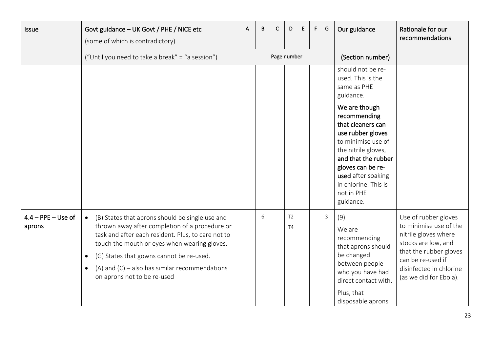<span id="page-22-0"></span>

| <b>Issue</b>                   | Govt guidance - UK Govt / PHE / NICE etc<br>(some of which is contradictory)                                                                                                                                                                                                                                                                                     | A | B | C           | D                           | E | F. | G | Our guidance                                                                                                                                                                                                                                                                                                    | Rationale for our<br>recommendations                                                                                                                                                              |
|--------------------------------|------------------------------------------------------------------------------------------------------------------------------------------------------------------------------------------------------------------------------------------------------------------------------------------------------------------------------------------------------------------|---|---|-------------|-----------------------------|---|----|---|-----------------------------------------------------------------------------------------------------------------------------------------------------------------------------------------------------------------------------------------------------------------------------------------------------------------|---------------------------------------------------------------------------------------------------------------------------------------------------------------------------------------------------|
|                                | ("Until you need to take a break" = "a session")                                                                                                                                                                                                                                                                                                                 |   |   | Page number |                             |   |    |   | (Section number)                                                                                                                                                                                                                                                                                                |                                                                                                                                                                                                   |
|                                |                                                                                                                                                                                                                                                                                                                                                                  |   |   |             |                             |   |    |   | should not be re-<br>used. This is the<br>same as PHE<br>guidance.<br>We are though<br>recommending<br>that cleaners can<br>use rubber gloves<br>to minimise use of<br>the nitrile gloves,<br>and that the rubber<br>gloves can be re-<br>used after soaking<br>in chlorine. This is<br>not in PHE<br>guidance. |                                                                                                                                                                                                   |
| $4.4 - PPE - Use of$<br>aprons | (B) States that aprons should be single use and<br>thrown away after completion of a procedure or<br>task and after each resident. Plus, to care not to<br>touch the mouth or eyes when wearing gloves.<br>(G) States that gowns cannot be re-used.<br>$\bullet$<br>(A) and $(C)$ – also has similar recommendations<br>$\bullet$<br>on aprons not to be re-used |   | 6 |             | T <sub>2</sub><br><b>T4</b> |   |    | 3 | (9)<br>We are<br>recommending<br>that aprons should<br>be changed<br>between people<br>who you have had<br>direct contact with.<br>Plus, that<br>disposable aprons                                                                                                                                              | Use of rubber gloves<br>to minimise use of the<br>nitrile gloves where<br>stocks are low, and<br>that the rubber gloves<br>can be re-used if<br>disinfected in chlorine<br>(as we did for Ebola). |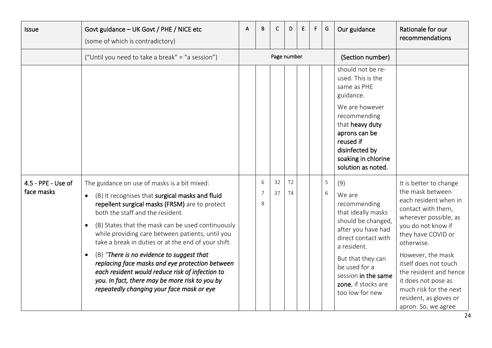<span id="page-23-0"></span>

| Issue                            | Govt guidance - UK Govt / PHE / NICE etc<br>(some of which is contradictory)                                                                                                                                                                                                                                                                                                                                                                                                                                                                                                                                                      | A | B                        | C           | D                    | Ε | F | G      | Our guidance                                                                                                                                                                                                                                 | Rationale for our<br>recommendations                                                                                                                                                                                                                                                                                                                   |
|----------------------------------|-----------------------------------------------------------------------------------------------------------------------------------------------------------------------------------------------------------------------------------------------------------------------------------------------------------------------------------------------------------------------------------------------------------------------------------------------------------------------------------------------------------------------------------------------------------------------------------------------------------------------------------|---|--------------------------|-------------|----------------------|---|---|--------|----------------------------------------------------------------------------------------------------------------------------------------------------------------------------------------------------------------------------------------------|--------------------------------------------------------------------------------------------------------------------------------------------------------------------------------------------------------------------------------------------------------------------------------------------------------------------------------------------------------|
|                                  | ("Until you need to take a break" = "a session")                                                                                                                                                                                                                                                                                                                                                                                                                                                                                                                                                                                  |   |                          | Page number |                      |   |   |        | (Section number)                                                                                                                                                                                                                             |                                                                                                                                                                                                                                                                                                                                                        |
|                                  |                                                                                                                                                                                                                                                                                                                                                                                                                                                                                                                                                                                                                                   |   |                          |             |                      |   |   |        | should not be re-<br>used. This is the<br>same as PHE<br>guidance.<br>We are however<br>recommending<br>that heavy duty<br>aprons can be<br>reused if<br>disinfected by<br>soaking in chlorine<br>solution as noted.                         |                                                                                                                                                                                                                                                                                                                                                        |
| 4.5 - PPE - Use of<br>face masks | The guidance on use of masks is a bit mixed:<br>(B) It recognises that surgical masks and fluid<br>repellent surgical masks (FRSM) are to protect<br>both the staff and the resident.<br>(B) States that the mask can be used continuously<br>$\bullet$<br>while providing care between patients, until you<br>take a break in duties or at the end of your shift.<br>(B) "There is no evidence to suggest that<br>$\bullet$<br>replacing face masks and eye protection between<br>each resident would reduce risk of infection to<br>you. In fact, there may be more risk to you by<br>repeatedly changing your face mask or eye |   | 6<br>$\overline{7}$<br>8 | 32<br>37    | T <sub>2</sub><br>T4 |   |   | 5<br>6 | (9)<br>We are<br>recommending<br>that ideally masks<br>should be changed,<br>after you have had<br>direct contact with<br>a resident.<br>But that they can<br>be used for a<br>session in the same<br>zone, if stocks are<br>too low for new | It is better to change<br>the mask between<br>each resident when in<br>contact with them,<br>wherever possible, as<br>you do not know if<br>they have COVID or<br>otherwise.<br>However, the mask<br>itself does not touch<br>the resident and hence<br>it does not pose as<br>much risk for the next<br>resident, as gloves or<br>apron. So, we agree |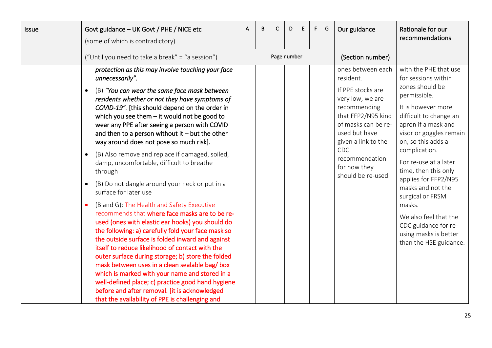| <b>Issue</b> | Govt guidance - UK Govt / PHE / NICE etc<br>(some of which is contradictory)                                                                                                                                                                                                                                                                                                                                                                                                                                                                                                                                                                                                                                                                                                                                                                                                                                                                                                                                                                                                                                                                                                                                                                                     | А | В | C           | D | E | F. | G | Our guidance                                                                                                                                                                                                                                | Rationale for our<br>recommendations                                                                                                                                                                                                                                                                                                                                                                                                                     |
|--------------|------------------------------------------------------------------------------------------------------------------------------------------------------------------------------------------------------------------------------------------------------------------------------------------------------------------------------------------------------------------------------------------------------------------------------------------------------------------------------------------------------------------------------------------------------------------------------------------------------------------------------------------------------------------------------------------------------------------------------------------------------------------------------------------------------------------------------------------------------------------------------------------------------------------------------------------------------------------------------------------------------------------------------------------------------------------------------------------------------------------------------------------------------------------------------------------------------------------------------------------------------------------|---|---|-------------|---|---|----|---|---------------------------------------------------------------------------------------------------------------------------------------------------------------------------------------------------------------------------------------------|----------------------------------------------------------------------------------------------------------------------------------------------------------------------------------------------------------------------------------------------------------------------------------------------------------------------------------------------------------------------------------------------------------------------------------------------------------|
|              | ("Until you need to take a break" = "a session")                                                                                                                                                                                                                                                                                                                                                                                                                                                                                                                                                                                                                                                                                                                                                                                                                                                                                                                                                                                                                                                                                                                                                                                                                 |   |   | Page number |   |   |    |   | (Section number)                                                                                                                                                                                                                            |                                                                                                                                                                                                                                                                                                                                                                                                                                                          |
|              | protection as this may involve touching your face<br>unnecessarily".<br>(B) "You can wear the same face mask between<br>$\bullet$<br>residents whether or not they have symptoms of<br>COVID-19". [this should depend on the order in<br>which you see them $-$ it would not be good to<br>wear any PPE after seeing a person with COVID<br>and then to a person without it $-$ but the other<br>way around does not pose so much risk].<br>(B) Also remove and replace if damaged, soiled,<br>damp, uncomfortable, difficult to breathe<br>through<br>(B) Do not dangle around your neck or put in a<br>surface for later use<br>(B and G): The Health and Safety Executive<br>recommends that where face masks are to be re-<br>used (ones with elastic ear hooks) you should do<br>the following: a) carefully fold your face mask so<br>the outside surface is folded inward and against<br>itself to reduce likelihood of contact with the<br>outer surface during storage; b) store the folded<br>mask between uses in a clean sealable bag/box<br>which is marked with your name and stored in a<br>well-defined place; c) practice good hand hygiene<br>before and after removal. [it is acknowledged<br>that the availability of PPE is challenging and |   |   |             |   |   |    |   | ones between each<br>resident.<br>If PPE stocks are<br>very low, we are<br>recommending<br>that FFP2/N95 kind<br>of masks can be re-<br>used but have<br>given a link to the<br>CDC<br>recommendation<br>for how they<br>should be re-used. | with the PHE that use<br>for sessions within<br>zones should be<br>permissible.<br>It is however more<br>difficult to change an<br>apron if a mask and<br>visor or goggles remain<br>on, so this adds a<br>complication.<br>For re-use at a later<br>time, then this only<br>applies for FFP2/N95<br>masks and not the<br>surgical or FRSM<br>masks.<br>We also feel that the<br>CDC guidance for re-<br>using masks is better<br>than the HSE guidance. |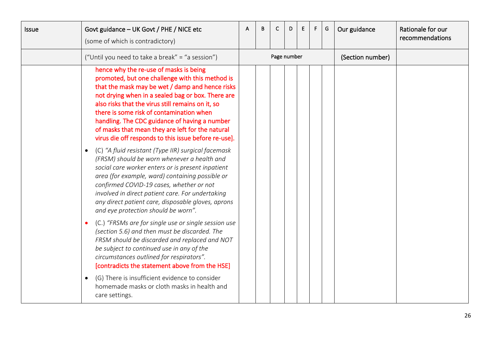| <b>Issue</b> | Govt guidance - UK Govt / PHE / NICE etc<br>(some of which is contradictory)                                                                                                                                                                                                                                                                                                                                                                                    | B | C           | D | E. | F. | G | Our guidance     | Rationale for our<br>recommendations |
|--------------|-----------------------------------------------------------------------------------------------------------------------------------------------------------------------------------------------------------------------------------------------------------------------------------------------------------------------------------------------------------------------------------------------------------------------------------------------------------------|---|-------------|---|----|----|---|------------------|--------------------------------------|
|              | ("Until you need to take a break" = "a session")                                                                                                                                                                                                                                                                                                                                                                                                                |   | Page number |   |    |    |   | (Section number) |                                      |
|              | hence why the re-use of masks is being<br>promoted, but one challenge with this method is<br>that the mask may be wet / damp and hence risks<br>not drying when in a sealed bag or box. There are<br>also risks that the virus still remains on it, so<br>there is some risk of contamination when<br>handling. The CDC guidance of having a number<br>of masks that mean they are left for the natural<br>virus die off responds to this issue before re-use]. |   |             |   |    |    |   |                  |                                      |
|              | (C) "A fluid resistant (Type IIR) surgical facemask<br>(FRSM) should be worn whenever a health and<br>social care worker enters or is present inpatient<br>area (for example, ward) containing possible or<br>confirmed COVID-19 cases, whether or not<br>involved in direct patient care. For undertaking<br>any direct patient care, disposable gloves, aprons<br>and eye protection should be worn".                                                         |   |             |   |    |    |   |                  |                                      |
|              | (C.) "FRSMs are for single use or single session use<br>(section 5.6) and then must be discarded. The<br>FRSM should be discarded and replaced and NOT<br>be subject to continued use in any of the<br>circumstances outlined for respirators".<br>[contradicts the statement above from the HSE]                                                                                                                                                               |   |             |   |    |    |   |                  |                                      |
|              | (G) There is insufficient evidence to consider<br>homemade masks or cloth masks in health and<br>care settings.                                                                                                                                                                                                                                                                                                                                                 |   |             |   |    |    |   |                  |                                      |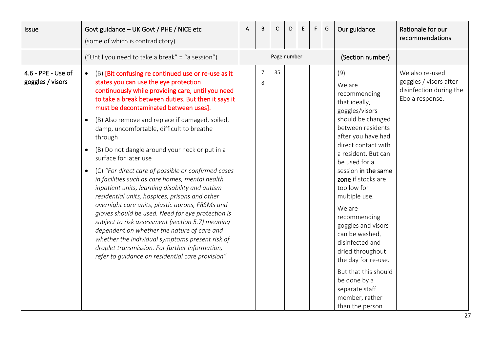<span id="page-26-0"></span>

| Issue                                  | Govt guidance - UK Govt / PHE / NICE etc<br>(some of which is contradictory)                                                                                                                                                                                                                                                                                                                                                                                                                                                                                                                                                                                                                                                                                                                                                                                                                                                                                                                                                                                                    | A | B                   | C           | D | E | F. | G | Our guidance                                                                                                                                                                                                                                                                                                                                                                                                                                                                                                | Rationale for our<br>recommendations                                                    |
|----------------------------------------|---------------------------------------------------------------------------------------------------------------------------------------------------------------------------------------------------------------------------------------------------------------------------------------------------------------------------------------------------------------------------------------------------------------------------------------------------------------------------------------------------------------------------------------------------------------------------------------------------------------------------------------------------------------------------------------------------------------------------------------------------------------------------------------------------------------------------------------------------------------------------------------------------------------------------------------------------------------------------------------------------------------------------------------------------------------------------------|---|---------------------|-------------|---|---|----|---|-------------------------------------------------------------------------------------------------------------------------------------------------------------------------------------------------------------------------------------------------------------------------------------------------------------------------------------------------------------------------------------------------------------------------------------------------------------------------------------------------------------|-----------------------------------------------------------------------------------------|
|                                        | ("Until you need to take a break" = "a session")                                                                                                                                                                                                                                                                                                                                                                                                                                                                                                                                                                                                                                                                                                                                                                                                                                                                                                                                                                                                                                |   |                     | Page number |   |   |    |   | (Section number)                                                                                                                                                                                                                                                                                                                                                                                                                                                                                            |                                                                                         |
| 4.6 - PPE - Use of<br>goggles / visors | (B) [Bit confusing re continued use or re-use as it<br>$\bullet$<br>states you can use the eye protection<br>continuously while providing care, until you need<br>to take a break between duties. But then it says it<br>must be decontaminated between uses].<br>(B) Also remove and replace if damaged, soiled,<br>$\bullet$<br>damp, uncomfortable, difficult to breathe<br>through<br>(B) Do not dangle around your neck or put in a<br>$\bullet$<br>surface for later use<br>(C) "For direct care of possible or confirmed cases<br>$\bullet$<br>in facilities such as care homes, mental health<br>inpatient units, learning disability and autism<br>residential units, hospices, prisons and other<br>overnight care units, plastic aprons, FRSMs and<br>gloves should be used. Need for eye protection is<br>subject to risk assessment (section 5.7) meaning<br>dependent on whether the nature of care and<br>whether the individual symptoms present risk of<br>droplet transmission. For further information,<br>refer to guidance on residential care provision". |   | $\overline{7}$<br>8 | 35          |   |   |    |   | (9)<br>We are<br>recommending<br>that ideally,<br>goggles/visors<br>should be changed<br>between residents<br>after you have had<br>direct contact with<br>a resident. But can<br>be used for a<br>session in the same<br>zone if stocks are<br>too low for<br>multiple use.<br>We are<br>recommending<br>goggles and visors<br>can be washed,<br>disinfected and<br>dried throughout<br>the day for re-use.<br>But that this should<br>be done by a<br>separate staff<br>member, rather<br>than the person | We also re-used<br>goggles / visors after<br>disinfection during the<br>Ebola response. |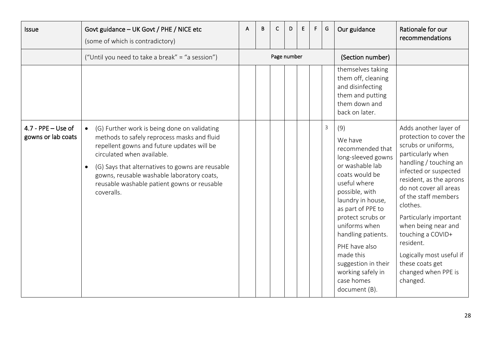<span id="page-27-0"></span>

| Issue                                      | Govt guidance - UK Govt / PHE / NICE etc<br>(some of which is contradictory)                                                                                                                                                                                                                                                                        | A | B | C           | D | Е | F. | G | Our guidance                                                                                                                                                                                                                                                                                                                                   | Rationale for our<br>recommendations                                                                                                                                                                                                                                                                                                                                                                          |
|--------------------------------------------|-----------------------------------------------------------------------------------------------------------------------------------------------------------------------------------------------------------------------------------------------------------------------------------------------------------------------------------------------------|---|---|-------------|---|---|----|---|------------------------------------------------------------------------------------------------------------------------------------------------------------------------------------------------------------------------------------------------------------------------------------------------------------------------------------------------|---------------------------------------------------------------------------------------------------------------------------------------------------------------------------------------------------------------------------------------------------------------------------------------------------------------------------------------------------------------------------------------------------------------|
|                                            | ("Until you need to take a break" = "a session")                                                                                                                                                                                                                                                                                                    |   |   | Page number |   |   |    |   | (Section number)                                                                                                                                                                                                                                                                                                                               |                                                                                                                                                                                                                                                                                                                                                                                                               |
|                                            |                                                                                                                                                                                                                                                                                                                                                     |   |   |             |   |   |    |   | themselves taking<br>them off, cleaning<br>and disinfecting<br>them and putting<br>them down and<br>back on later.                                                                                                                                                                                                                             |                                                                                                                                                                                                                                                                                                                                                                                                               |
| $4.7 - PPE - Use of$<br>gowns or lab coats | (G) Further work is being done on validating<br>methods to safely reprocess masks and fluid<br>repellent gowns and future updates will be<br>circulated when available.<br>(G) Says that alternatives to gowns are reusable<br>$\bullet$<br>gowns, reusable washable laboratory coats,<br>reusable washable patient gowns or reusable<br>coveralls. |   |   |             |   |   |    | 3 | (9)<br>We have<br>recommended that<br>long-sleeved gowns<br>or washable lab<br>coats would be<br>useful where<br>possible, with<br>laundry in house,<br>as part of PPE to<br>protect scrubs or<br>uniforms when<br>handling patients.<br>PHE have also<br>made this<br>suggestion in their<br>working safely in<br>case homes<br>document (B). | Adds another layer of<br>protection to cover the<br>scrubs or uniforms,<br>particularly when<br>handling / touching an<br>infected or suspected<br>resident, as the aprons<br>do not cover all areas<br>of the staff members<br>clothes.<br>Particularly important<br>when being near and<br>touching a COVID+<br>resident.<br>Logically most useful if<br>these coats get<br>changed when PPE is<br>changed. |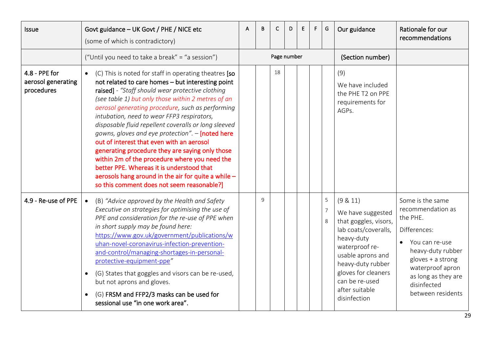<span id="page-28-1"></span><span id="page-28-0"></span>

| <b>Issue</b>                                      | Govt guidance - UK Govt / PHE / NICE etc<br>(some of which is contradictory)                                                                                                                                                                                                                                                                                                                                                                                                                                                                                                                                                                                                                                                          | В | С           | D | E | F. | G      | Our guidance                                                                                                                                                                                                                        | Rationale for our<br>recommendations                                                                                                                                                                           |
|---------------------------------------------------|---------------------------------------------------------------------------------------------------------------------------------------------------------------------------------------------------------------------------------------------------------------------------------------------------------------------------------------------------------------------------------------------------------------------------------------------------------------------------------------------------------------------------------------------------------------------------------------------------------------------------------------------------------------------------------------------------------------------------------------|---|-------------|---|---|----|--------|-------------------------------------------------------------------------------------------------------------------------------------------------------------------------------------------------------------------------------------|----------------------------------------------------------------------------------------------------------------------------------------------------------------------------------------------------------------|
|                                                   | ("Until you need to take a break" = "a session")                                                                                                                                                                                                                                                                                                                                                                                                                                                                                                                                                                                                                                                                                      |   | Page number |   |   |    |        | (Section number)                                                                                                                                                                                                                    |                                                                                                                                                                                                                |
| 4.8 - PPE for<br>aerosol generating<br>procedures | (C) This is noted for staff in operating theatres [so<br>not related to care homes - but interesting point<br>raised] - "Staff should wear protective clothing<br>(see table 1) but only those within 2 metres of an<br>aerosol generating procedure, such as performing<br>intubation, need to wear FFP3 respirators,<br>disposable fluid repellent coveralls or long sleeved<br>gowns, gloves and eye protection". - [noted here<br>out of interest that even with an aerosol<br>generating procedure they are saying only those<br>within 2m of the procedure where you need the<br>better PPE. Whereas it is understood that<br>aerosols hang around in the air for quite a while -<br>so this comment does not seem reasonable?] |   | 18          |   |   |    |        | (9)<br>We have included<br>the PHE T2 on PPE<br>requirements for<br>AGPs.                                                                                                                                                           |                                                                                                                                                                                                                |
| 4.9 - Re-use of PPE                               | (B) "Advice approved by the Health and Safety<br>Executive on strategies for optimising the use of<br>PPE and consideration for the re-use of PPE when<br>in short supply may be found here:<br>https://www.gov.uk/government/publications/w<br>uhan-novel-coronavirus-infection-prevention-<br>and-control/managing-shortages-in-personal-<br>protective-equipment-ppe"<br>(G) States that goggles and visors can be re-used,<br>but not aprons and gloves.<br>(G) FRSM and FFP2/3 masks can be used for<br>sessional use "in one work area".                                                                                                                                                                                        | 9 |             |   |   |    | 5<br>8 | (9 & 11)<br>We have suggested<br>that goggles, visors,<br>lab coats/coveralls,<br>heavy-duty<br>waterproof re-<br>usable aprons and<br>heavy-duty rubber<br>gloves for cleaners<br>can be re-used<br>after suitable<br>disinfection | Some is the same<br>recommendation as<br>the PHE.<br>Differences:<br>You can re-use<br>heavy-duty rubber<br>$gloves + a strong$<br>waterproof apron<br>as long as they are<br>disinfected<br>between residents |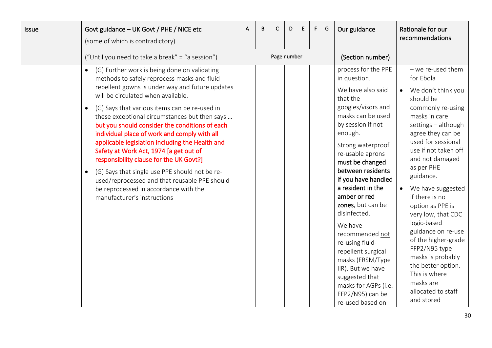| Issue | Govt guidance - UK Govt / PHE / NICE etc<br>(some of which is contradictory)                                                                                                                                                                                                                                                                                                                                                                                                                                                                                                                                                                                                                                                          | A | B | C           | D | E | F. | G | Our guidance                                                                                                                                                                                                                                                                                                                                                                                                                                                                                                                        | Rationale for our<br>recommendations                                                                                                                                                                                                                                                                                                                                                                                                                                                                                                    |
|-------|---------------------------------------------------------------------------------------------------------------------------------------------------------------------------------------------------------------------------------------------------------------------------------------------------------------------------------------------------------------------------------------------------------------------------------------------------------------------------------------------------------------------------------------------------------------------------------------------------------------------------------------------------------------------------------------------------------------------------------------|---|---|-------------|---|---|----|---|-------------------------------------------------------------------------------------------------------------------------------------------------------------------------------------------------------------------------------------------------------------------------------------------------------------------------------------------------------------------------------------------------------------------------------------------------------------------------------------------------------------------------------------|-----------------------------------------------------------------------------------------------------------------------------------------------------------------------------------------------------------------------------------------------------------------------------------------------------------------------------------------------------------------------------------------------------------------------------------------------------------------------------------------------------------------------------------------|
|       | ("Until you need to take a break" = "a session")                                                                                                                                                                                                                                                                                                                                                                                                                                                                                                                                                                                                                                                                                      |   |   | Page number |   |   |    |   | (Section number)                                                                                                                                                                                                                                                                                                                                                                                                                                                                                                                    |                                                                                                                                                                                                                                                                                                                                                                                                                                                                                                                                         |
|       | (G) Further work is being done on validating<br>methods to safely reprocess masks and fluid<br>repellent gowns is under way and future updates<br>will be circulated when available.<br>(G) Says that various items can be re-used in<br>$\bullet$<br>these exceptional circumstances but then says<br>but you should consider the conditions of each<br>individual place of work and comply with all<br>applicable legislation including the Health and<br>Safety at Work Act, 1974 [a get out of<br>responsibility clause for the UK Govt?]<br>(G) Says that single use PPE should not be re-<br>$\bullet$<br>used/reprocessed and that reusable PPE should<br>be reprocessed in accordance with the<br>manufacturer's instructions |   |   |             |   |   |    |   | process for the PPE<br>in question.<br>We have also said<br>that the<br>googles/visors and<br>masks can be used<br>by session if not<br>enough.<br>Strong waterproof<br>re-usable aprons<br>must be changed<br>between residents<br>if you have handled<br>a resident in the<br>amber or red<br>zones, but can be<br>disinfected.<br>We have<br>recommended not<br>re-using fluid-<br>repellent surgical<br>masks (FRSM/Type<br>IIR). But we have<br>suggested that<br>masks for AGPs (i.e.<br>FFP2/N95) can be<br>re-used based on | - we re-used them<br>for Ebola<br>We don't think you<br>$\bullet$<br>should be<br>commonly re-using<br>masks in care<br>settings - although<br>agree they can be<br>used for sessional<br>use if not taken off<br>and not damaged<br>as per PHE<br>guidance.<br>We have suggested<br>if there is no<br>option as PPE is<br>very low, that CDC<br>logic-based<br>guidance on re-use<br>of the higher-grade<br>FFP2/N95 type<br>masks is probably<br>the better option.<br>This is where<br>masks are<br>allocated to staff<br>and stored |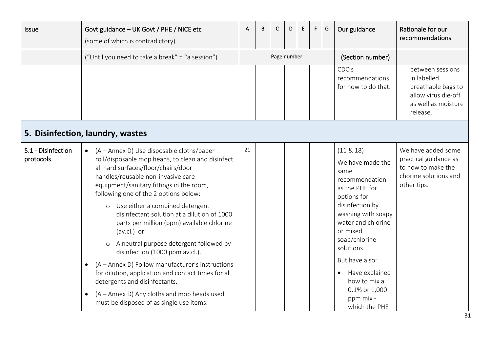<span id="page-30-1"></span><span id="page-30-0"></span>

| Issue                           | Govt guidance - UK Govt / PHE / NICE etc<br>(some of which is contradictory)                                                                                                                                                                                                                                                                                                                                                                                                                                                                                                                                                                                                                                                                                                         | A  | B | C           | D | E | F | G | Our guidance                                                                                                                                                                                                                                                                                             | Rationale for our<br>recommendations                                                                            |
|---------------------------------|--------------------------------------------------------------------------------------------------------------------------------------------------------------------------------------------------------------------------------------------------------------------------------------------------------------------------------------------------------------------------------------------------------------------------------------------------------------------------------------------------------------------------------------------------------------------------------------------------------------------------------------------------------------------------------------------------------------------------------------------------------------------------------------|----|---|-------------|---|---|---|---|----------------------------------------------------------------------------------------------------------------------------------------------------------------------------------------------------------------------------------------------------------------------------------------------------------|-----------------------------------------------------------------------------------------------------------------|
|                                 | ("Until you need to take a break" = "a session")                                                                                                                                                                                                                                                                                                                                                                                                                                                                                                                                                                                                                                                                                                                                     |    |   | Page number |   |   |   |   | (Section number)                                                                                                                                                                                                                                                                                         |                                                                                                                 |
|                                 |                                                                                                                                                                                                                                                                                                                                                                                                                                                                                                                                                                                                                                                                                                                                                                                      |    |   |             |   |   |   |   | CDC's<br>recommendations<br>for how to do that.                                                                                                                                                                                                                                                          | between sessions<br>in labelled<br>breathable bags to<br>allow virus die-off<br>as well as moisture<br>release. |
|                                 | 5. Disinfection, laundry, wastes                                                                                                                                                                                                                                                                                                                                                                                                                                                                                                                                                                                                                                                                                                                                                     |    |   |             |   |   |   |   |                                                                                                                                                                                                                                                                                                          |                                                                                                                 |
| 5.1 - Disinfection<br>protocols | (A - Annex D) Use disposable cloths/paper<br>$\bullet$<br>roll/disposable mop heads, to clean and disinfect<br>all hard surfaces/floor/chairs/door<br>handles/reusable non-invasive care<br>equipment/sanitary fittings in the room,<br>following one of the 2 options below:<br>Use either a combined detergent<br>$\circ$<br>disinfectant solution at a dilution of 1000<br>parts per million (ppm) available chlorine<br>(av.cl.) or<br>A neutral purpose detergent followed by<br>$\circ$<br>disinfection (1000 ppm av.cl.).<br>(A – Annex D) Follow manufacturer's instructions<br>for dilution, application and contact times for all<br>detergents and disinfectants.<br>(A – Annex D) Any cloths and mop heads used<br>$\bullet$<br>must be disposed of as single use items. | 21 |   |             |   |   |   |   | $(11 \& 18)$<br>We have made the<br>same<br>recommendation<br>as the PHE for<br>options for<br>disinfection by<br>washing with soapy<br>water and chlorine<br>or mixed<br>soap/chlorine<br>solutions.<br>But have also:<br>Have explained<br>how to mix a<br>0.1% or 1,000<br>ppm mix -<br>which the PHE | We have added some<br>practical guidance as<br>to how to make the<br>chorine solutions and<br>other tips.       |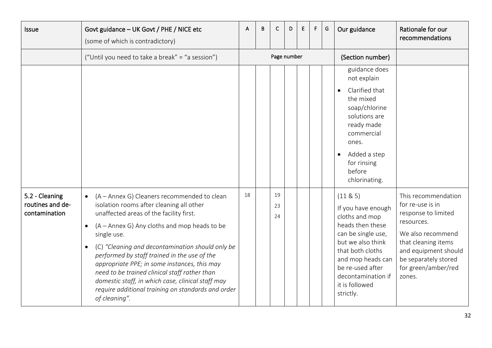<span id="page-31-0"></span>

| Issue                                               | Govt guidance - UK Govt / PHE / NICE etc<br>(some of which is contradictory)                                                                                                                                                                                                                                                                                                                                                                                                                                                                                 | A  | B | C              | D | E | F. | G | Our guidance                                                                                                                                                                                                                       | Rationale for our<br>recommendations                                                                                                                                                                      |
|-----------------------------------------------------|--------------------------------------------------------------------------------------------------------------------------------------------------------------------------------------------------------------------------------------------------------------------------------------------------------------------------------------------------------------------------------------------------------------------------------------------------------------------------------------------------------------------------------------------------------------|----|---|----------------|---|---|----|---|------------------------------------------------------------------------------------------------------------------------------------------------------------------------------------------------------------------------------------|-----------------------------------------------------------------------------------------------------------------------------------------------------------------------------------------------------------|
|                                                     | ("Until you need to take a break" = "a session")                                                                                                                                                                                                                                                                                                                                                                                                                                                                                                             |    |   | Page number    |   |   |    |   | (Section number)                                                                                                                                                                                                                   |                                                                                                                                                                                                           |
|                                                     |                                                                                                                                                                                                                                                                                                                                                                                                                                                                                                                                                              |    |   |                |   |   |    |   | guidance does<br>not explain<br>Clarified that<br>the mixed<br>soap/chlorine<br>solutions are<br>ready made<br>commercial<br>ones.<br>Added a step<br>for rinsing<br>before<br>chlorinating.                                       |                                                                                                                                                                                                           |
| 5.2 - Cleaning<br>routines and de-<br>contamination | (A - Annex G) Cleaners recommended to clean<br>$\bullet$<br>isolation rooms after cleaning all other<br>unaffected areas of the facility first.<br>(A – Annex G) Any cloths and mop heads to be<br>single use.<br>(C) "Cleaning and decontamination should only be<br>$\bullet$<br>performed by staff trained in the use of the<br>appropriate PPE; in some instances, this may<br>need to be trained clinical staff rather than<br>domestic staff, in which case, clinical staff may<br>require additional training on standards and order<br>of cleaning". | 18 |   | 19<br>23<br>24 |   |   |    |   | (11 & 85)<br>If you have enough<br>cloths and mop<br>heads then these<br>can be single use,<br>but we also think<br>that both cloths<br>and mop heads can<br>be re-used after<br>decontamination if<br>it is followed<br>strictly. | This recommendation<br>for re-use is in<br>response to limited<br>resources.<br>We also recommend<br>that cleaning items<br>and equipment should<br>be separately stored<br>for green/amber/red<br>zones. |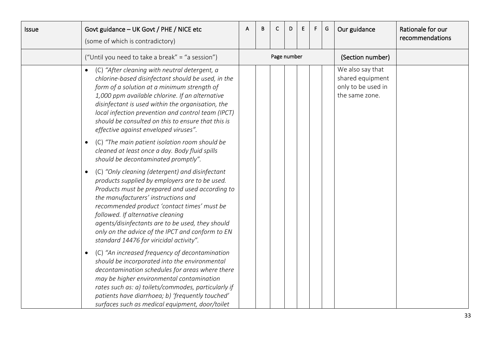| <b>Issue</b> | Govt guidance - UK Govt / PHE / NICE etc<br>(some of which is contradictory)                                                                                                                                                                                                                                                                                                                                                                    | А | B | C           | D | E. | F. | G | Our guidance                                                                 | Rationale for our<br>recommendations |
|--------------|-------------------------------------------------------------------------------------------------------------------------------------------------------------------------------------------------------------------------------------------------------------------------------------------------------------------------------------------------------------------------------------------------------------------------------------------------|---|---|-------------|---|----|----|---|------------------------------------------------------------------------------|--------------------------------------|
|              | ("Until you need to take a break" = "a session")                                                                                                                                                                                                                                                                                                                                                                                                |   |   | Page number |   |    |    |   | (Section number)                                                             |                                      |
|              | (C) "After cleaning with neutral detergent, a<br>chlorine-based disinfectant should be used, in the<br>form of a solution at a minimum strength of<br>1,000 ppm available chlorine. If an alternative<br>disinfectant is used within the organisation, the<br>local infection prevention and control team (IPCT)<br>should be consulted on this to ensure that this is<br>effective against enveloped viruses".                                 |   |   |             |   |    |    |   | We also say that<br>shared equipment<br>only to be used in<br>the same zone. |                                      |
|              | (C) "The main patient isolation room should be<br>$\bullet$<br>cleaned at least once a day. Body fluid spills<br>should be decontaminated promptly".                                                                                                                                                                                                                                                                                            |   |   |             |   |    |    |   |                                                                              |                                      |
|              | (C) "Only cleaning (detergent) and disinfectant<br>$\bullet$<br>products supplied by employers are to be used.<br>Products must be prepared and used according to<br>the manufacturers' instructions and<br>recommended product 'contact times' must be<br>followed. If alternative cleaning<br>agents/disinfectants are to be used, they should<br>only on the advice of the IPCT and conform to EN<br>standard 14476 for viricidal activity". |   |   |             |   |    |    |   |                                                                              |                                      |
|              | (C) "An increased frequency of decontamination<br>$\bullet$<br>should be incorporated into the environmental<br>decontamination schedules for areas where there<br>may be higher environmental contamination<br>rates such as: a) toilets/commodes, particularly if<br>patients have diarrhoea; b) 'frequently touched'<br>surfaces such as medical equipment, door/toilet                                                                      |   |   |             |   |    |    |   |                                                                              |                                      |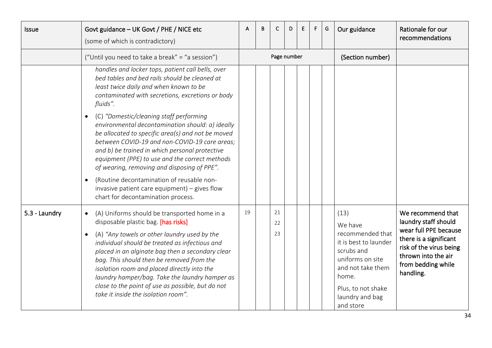<span id="page-33-0"></span>

| Issue         | Govt guidance - UK Govt / PHE / NICE etc<br>(some of which is contradictory)                                                                                                                                                                                                                                                                                                                                                                                                                          | A  | B | С              | D | E | F. | G | Our guidance                                                                                                                                                                       | Rationale for our<br>recommendations                                                                                                                                              |
|---------------|-------------------------------------------------------------------------------------------------------------------------------------------------------------------------------------------------------------------------------------------------------------------------------------------------------------------------------------------------------------------------------------------------------------------------------------------------------------------------------------------------------|----|---|----------------|---|---|----|---|------------------------------------------------------------------------------------------------------------------------------------------------------------------------------------|-----------------------------------------------------------------------------------------------------------------------------------------------------------------------------------|
|               | ("Until you need to take a break" = "a session")                                                                                                                                                                                                                                                                                                                                                                                                                                                      |    |   | Page number    |   |   |    |   | (Section number)                                                                                                                                                                   |                                                                                                                                                                                   |
|               | handles and locker tops, patient call bells, over<br>bed tables and bed rails should be cleaned at<br>least twice daily and when known to be<br>contaminated with secretions, excretions or body<br>fluids".                                                                                                                                                                                                                                                                                          |    |   |                |   |   |    |   |                                                                                                                                                                                    |                                                                                                                                                                                   |
|               | (C) "Domestic/cleaning staff performing<br>environmental decontamination should: a) ideally<br>be allocated to specific area(s) and not be moved<br>between COVID-19 and non-COVID-19 care areas;<br>and b) be trained in which personal protective<br>equipment (PPE) to use and the correct methods<br>of wearing, removing and disposing of PPE".<br>(Routine decontamination of reusable non-<br>$\bullet$<br>invasive patient care equipment) - gives flow<br>chart for decontamination process. |    |   |                |   |   |    |   |                                                                                                                                                                                    |                                                                                                                                                                                   |
| 5.3 - Laundry | (A) Uniforms should be transported home in a<br>$\bullet$<br>disposable plastic bag. [has risks]<br>(A) "Any towels or other laundry used by the<br>individual should be treated as infectious and<br>placed in an alginate bag then a secondary clear<br>bag. This should then be removed from the<br>isolation room and placed directly into the<br>laundry hamper/bag. Take the laundry hamper as<br>close to the point of use as possible, but do not<br>take it inside the isolation room".      | 19 |   | 21<br>22<br>23 |   |   |    |   | (13)<br>We have<br>recommended that<br>it is best to launder<br>scrubs and<br>uniforms on site<br>and not take them<br>home.<br>Plus, to not shake<br>laundry and bag<br>and store | We recommend that<br>laundry staff should<br>wear full PPE because<br>there is a significant<br>risk of the virus being<br>thrown into the air<br>from bedding while<br>handling. |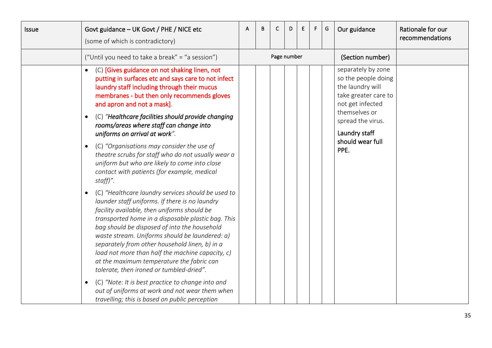| <b>Issue</b> | Govt guidance - UK Govt / PHE / NICE etc<br>(some of which is contradictory)                                                                                                                                                                                                                                                                                                                                                                                                                                                                                   | A | В | C           | D | E. | F. | G | Our guidance                                                                                                                                                                                 | Rationale for our<br>recommendations |
|--------------|----------------------------------------------------------------------------------------------------------------------------------------------------------------------------------------------------------------------------------------------------------------------------------------------------------------------------------------------------------------------------------------------------------------------------------------------------------------------------------------------------------------------------------------------------------------|---|---|-------------|---|----|----|---|----------------------------------------------------------------------------------------------------------------------------------------------------------------------------------------------|--------------------------------------|
|              | ("Until you need to take a break" = "a session")                                                                                                                                                                                                                                                                                                                                                                                                                                                                                                               |   |   | Page number |   |    |    |   | (Section number)                                                                                                                                                                             |                                      |
|              | (C) [Gives guidance on not shaking linen, not<br>$\bullet$<br>putting in surfaces etc and says care to not infect<br>laundry staff including through their mucus<br>membranes - but then only recommends gloves<br>and apron and not a mask].<br>(C) "Healthcare facilities should provide changing<br>$\bullet$<br>rooms/areas where staff can change into<br>uniforms on arrival at work".<br>(C) "Organisations may consider the use of<br>$\bullet$<br>theatre scrubs for staff who do not usually wear a<br>uniform but who are likely to come into close |   |   |             |   |    |    |   | separately by zone<br>so the people doing<br>the laundry will<br>take greater care to<br>not get infected<br>themselves or<br>spread the virus.<br>Laundry staff<br>should wear full<br>PPE. |                                      |
|              | contact with patients (for example, medical<br>staff)".                                                                                                                                                                                                                                                                                                                                                                                                                                                                                                        |   |   |             |   |    |    |   |                                                                                                                                                                                              |                                      |
|              | (C) "Healthcare laundry services should be used to<br>$\bullet$<br>launder staff uniforms. If there is no laundry<br>facility available, then uniforms should be<br>transported home in a disposable plastic bag. This<br>bag should be disposed of into the household<br>waste stream. Uniforms should be laundered: a)<br>separately from other household linen, b) in a<br>load not more than half the machine capacity, c)<br>at the maximum temperature the fabric can<br>tolerate, then ironed or tumbled-dried".                                        |   |   |             |   |    |    |   |                                                                                                                                                                                              |                                      |
|              | (C) "Note: It is best practice to change into and<br>$\bullet$<br>out of uniforms at work and not wear them when<br>travelling; this is based on public perception                                                                                                                                                                                                                                                                                                                                                                                             |   |   |             |   |    |    |   |                                                                                                                                                                                              |                                      |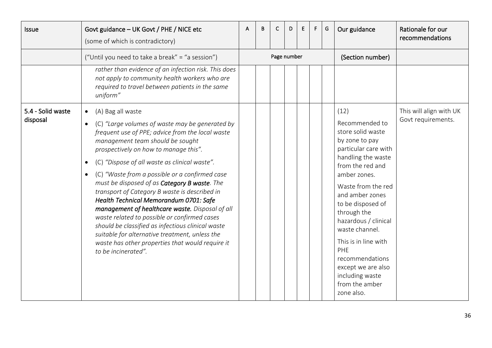<span id="page-35-0"></span>

| <b>Issue</b>                  | Govt guidance - UK Govt / PHE / NICE etc<br>(some of which is contradictory)                                                                                                                                                                                                                                                                                                                                                                                                                                                                                                                                                                                                                                                                                                                 | A | B | C           | D | E | F. | G | Our guidance                                                                                                                                                                                                                                                                                                                                                                                             | Rationale for our<br>recommendations          |
|-------------------------------|----------------------------------------------------------------------------------------------------------------------------------------------------------------------------------------------------------------------------------------------------------------------------------------------------------------------------------------------------------------------------------------------------------------------------------------------------------------------------------------------------------------------------------------------------------------------------------------------------------------------------------------------------------------------------------------------------------------------------------------------------------------------------------------------|---|---|-------------|---|---|----|---|----------------------------------------------------------------------------------------------------------------------------------------------------------------------------------------------------------------------------------------------------------------------------------------------------------------------------------------------------------------------------------------------------------|-----------------------------------------------|
|                               | ("Until you need to take a break" = "a session")                                                                                                                                                                                                                                                                                                                                                                                                                                                                                                                                                                                                                                                                                                                                             |   |   | Page number |   |   |    |   | (Section number)                                                                                                                                                                                                                                                                                                                                                                                         |                                               |
|                               | rather than evidence of an infection risk. This does<br>not apply to community health workers who are<br>required to travel between patients in the same<br>uniform"                                                                                                                                                                                                                                                                                                                                                                                                                                                                                                                                                                                                                         |   |   |             |   |   |    |   |                                                                                                                                                                                                                                                                                                                                                                                                          |                                               |
| 5.4 - Solid waste<br>disposal | (A) Bag all waste<br>$\bullet$<br>(C) "Large volumes of waste may be generated by<br>$\bullet$<br>frequent use of PPE; advice from the local waste<br>management team should be sought<br>prospectively on how to manage this".<br>(C) "Dispose of all waste as clinical waste".<br>$\bullet$<br>(C) "Waste from a possible or a confirmed case<br>$\bullet$<br>must be disposed of as Category B waste. The<br>transport of Category B waste is described in<br>Health Technical Memorandum 0701: Safe<br>management of healthcare waste. Disposal of all<br>waste related to possible or confirmed cases<br>should be classified as infectious clinical waste<br>suitable for alternative treatment, unless the<br>waste has other properties that would require it<br>to be incinerated". |   |   |             |   |   |    |   | (12)<br>Recommended to<br>store solid waste<br>by zone to pay<br>particular care with<br>handling the waste<br>from the red and<br>amber zones.<br>Waste from the red<br>and amber zones<br>to be disposed of<br>through the<br>hazardous / clinical<br>waste channel.<br>This is in line with<br><b>PHE</b><br>recommendations<br>except we are also<br>including waste<br>from the amber<br>zone also. | This will align with UK<br>Govt requirements. |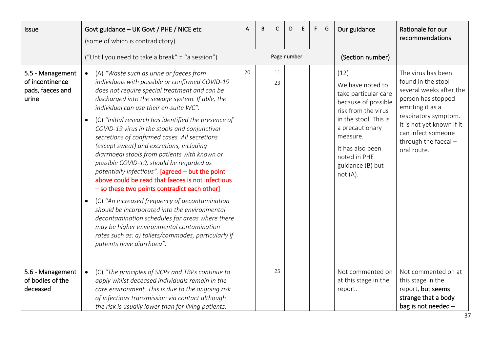<span id="page-36-1"></span><span id="page-36-0"></span>

| Issue                                                            | Govt guidance - UK Govt / PHE / NICE etc<br>(some of which is contradictory)                                                                                                                                                                                                                                                                                                                                                                                                                                                                                                                                                                                                                                                                                                                                                                                                                                                                                                                                                       | A  | B | С           | D | E | F. | G | Our guidance                                                                                                                                                                                                                 | Rationale for our<br>recommendations                                                                                                                                                                                            |
|------------------------------------------------------------------|------------------------------------------------------------------------------------------------------------------------------------------------------------------------------------------------------------------------------------------------------------------------------------------------------------------------------------------------------------------------------------------------------------------------------------------------------------------------------------------------------------------------------------------------------------------------------------------------------------------------------------------------------------------------------------------------------------------------------------------------------------------------------------------------------------------------------------------------------------------------------------------------------------------------------------------------------------------------------------------------------------------------------------|----|---|-------------|---|---|----|---|------------------------------------------------------------------------------------------------------------------------------------------------------------------------------------------------------------------------------|---------------------------------------------------------------------------------------------------------------------------------------------------------------------------------------------------------------------------------|
|                                                                  | ("Until you need to take a break" = "a session")                                                                                                                                                                                                                                                                                                                                                                                                                                                                                                                                                                                                                                                                                                                                                                                                                                                                                                                                                                                   |    |   | Page number |   |   |    |   | (Section number)                                                                                                                                                                                                             |                                                                                                                                                                                                                                 |
| 5.5 - Management<br>of incontinence<br>pads, faeces and<br>urine | (A) "Waste such as urine or faeces from<br>$\bullet$<br>individuals with possible or confirmed COVID-19<br>does not require special treatment and can be<br>discharged into the sewage system. If able, the<br>individual can use their en-suite WC".<br>(C) "Initial research has identified the presence of<br>$\bullet$<br>COVID-19 virus in the stools and conjunctival<br>secretions of confirmed cases. All secretions<br>(except sweat) and excretions, including<br>diarrhoeal stools from patients with known or<br>possible COVID-19, should be regarded as<br>potentially infectious". [agreed - but the point<br>above could be read that faeces is not infectious<br>- so these two points contradict each other]<br>(C) "An increased frequency of decontamination<br>$\bullet$<br>should be incorporated into the environmental<br>decontamination schedules for areas where there<br>may be higher environmental contamination<br>rates such as: a) toilets/commodes, particularly if<br>patients have diarrhoea". | 20 |   | 11<br>23    |   |   |    |   | (12)<br>We have noted to<br>take particular care<br>because of possible<br>risk from the virus<br>in the stool. This is<br>a precautionary<br>measure.<br>It has also been<br>noted in PHE<br>guidance (B) but<br>$not(A)$ . | The virus has been<br>found in the stool<br>several weeks after the<br>person has stopped<br>emitting it as a<br>respiratory symptom.<br>It is not yet known if it<br>can infect someone<br>through the faecal -<br>oral route. |
| 5.6 - Management<br>of bodies of the<br>deceased                 | (C) "The principles of SICPs and TBPs continue to<br>$\bullet$<br>apply whilst deceased individuals remain in the<br>care environment. This is due to the ongoing risk<br>of infectious transmission via contact although<br>the risk is usually lower than for living patients.                                                                                                                                                                                                                                                                                                                                                                                                                                                                                                                                                                                                                                                                                                                                                   |    |   | 25          |   |   |    |   | Not commented on<br>at this stage in the<br>report.                                                                                                                                                                          | Not commented on at<br>this stage in the<br>report, but seems<br>strange that a body<br>bag is not needed -                                                                                                                     |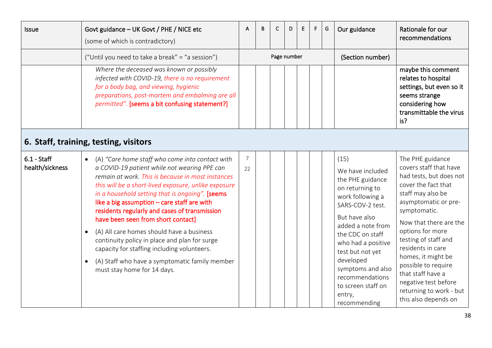<span id="page-37-1"></span><span id="page-37-0"></span>

| <b>Issue</b>                     | Govt guidance - UK Govt / PHE / NICE etc<br>(some of which is contradictory)                                                                                                                                                                                                                                                                                                                                                                                                                                                                                                                                                                                               | A       | B | C           | D | E. | F. | G | Our guidance                                                                                                                                                                                                                                                                                                     | Rationale for our<br>recommendations                                                                                                                                                                                                                                                                                                                                                              |
|----------------------------------|----------------------------------------------------------------------------------------------------------------------------------------------------------------------------------------------------------------------------------------------------------------------------------------------------------------------------------------------------------------------------------------------------------------------------------------------------------------------------------------------------------------------------------------------------------------------------------------------------------------------------------------------------------------------------|---------|---|-------------|---|----|----|---|------------------------------------------------------------------------------------------------------------------------------------------------------------------------------------------------------------------------------------------------------------------------------------------------------------------|---------------------------------------------------------------------------------------------------------------------------------------------------------------------------------------------------------------------------------------------------------------------------------------------------------------------------------------------------------------------------------------------------|
|                                  | ("Until you need to take a break" = "a session")                                                                                                                                                                                                                                                                                                                                                                                                                                                                                                                                                                                                                           |         |   | Page number |   |    |    |   | (Section number)                                                                                                                                                                                                                                                                                                 |                                                                                                                                                                                                                                                                                                                                                                                                   |
|                                  | Where the deceased was known or possibly<br>infected with COVID-19, there is no requirement<br>for a body bag, and viewing, hygienic<br>preparations, post-mortem and embalming are all<br>permitted". [seems a bit confusing statement?]                                                                                                                                                                                                                                                                                                                                                                                                                                  |         |   |             |   |    |    |   |                                                                                                                                                                                                                                                                                                                  | maybe this comment<br>relates to hospital<br>settings, but even so it<br>seems strange<br>considering how<br>transmittable the virus<br>is?                                                                                                                                                                                                                                                       |
|                                  | 6. Staff, training, testing, visitors                                                                                                                                                                                                                                                                                                                                                                                                                                                                                                                                                                                                                                      |         |   |             |   |    |    |   |                                                                                                                                                                                                                                                                                                                  |                                                                                                                                                                                                                                                                                                                                                                                                   |
| $6.1 - Staff$<br>health/sickness | (A) "Care home staff who come into contact with<br>$\bullet$<br>a COVID-19 patient while not wearing PPE can<br>remain at work. This is because in most instances<br>this will be a short-lived exposure, unlike exposure<br>in a household setting that is ongoing". [seems<br>like a big assumption - care staff are with<br>residents regularly and cases of transmission<br>have been seen from short contact]<br>(A) All care homes should have a business<br>$\bullet$<br>continuity policy in place and plan for surge<br>capacity for staffing including volunteers.<br>(A) Staff who have a symptomatic family member<br>$\bullet$<br>must stay home for 14 days. | 7<br>22 |   |             |   |    |    |   | (15)<br>We have included<br>the PHE guidance<br>on returning to<br>work following a<br>SARS-COV-2 test.<br>But have also<br>added a note from<br>the CDC on staff<br>who had a positive<br>test but not yet<br>developed<br>symptoms and also<br>recommendations<br>to screen staff on<br>entry,<br>recommending | The PHE guidance<br>covers staff that have<br>had tests, but does not<br>cover the fact that<br>staff may also be<br>asymptomatic or pre-<br>symptomatic.<br>Now that there are the<br>options for more<br>testing of staff and<br>residents in care<br>homes, it might be<br>possible to require<br>that staff have a<br>negative test before<br>returning to work - but<br>this also depends on |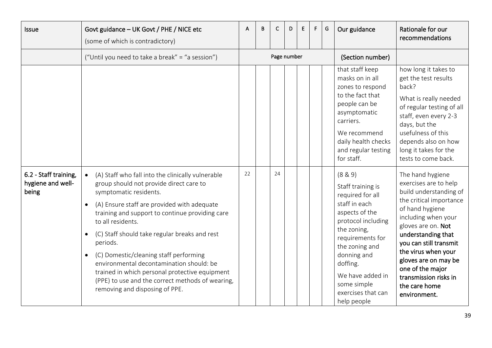<span id="page-38-0"></span>

| <b>Issue</b>                                        | Govt guidance - UK Govt / PHE / NICE etc<br>(some of which is contradictory)                                                                                                                                                                                                                                                                                                                                                                                                                                                                                                    | A  | B | C           | D | Е | F. | G | Our guidance                                                                                                                                                                                                                                                      | Rationale for our<br>recommendations                                                                                                                                                                                                                                                                                                        |
|-----------------------------------------------------|---------------------------------------------------------------------------------------------------------------------------------------------------------------------------------------------------------------------------------------------------------------------------------------------------------------------------------------------------------------------------------------------------------------------------------------------------------------------------------------------------------------------------------------------------------------------------------|----|---|-------------|---|---|----|---|-------------------------------------------------------------------------------------------------------------------------------------------------------------------------------------------------------------------------------------------------------------------|---------------------------------------------------------------------------------------------------------------------------------------------------------------------------------------------------------------------------------------------------------------------------------------------------------------------------------------------|
|                                                     | ("Until you need to take a break" = "a session")                                                                                                                                                                                                                                                                                                                                                                                                                                                                                                                                |    |   | Page number |   |   |    |   | (Section number)                                                                                                                                                                                                                                                  |                                                                                                                                                                                                                                                                                                                                             |
|                                                     |                                                                                                                                                                                                                                                                                                                                                                                                                                                                                                                                                                                 |    |   |             |   |   |    |   | that staff keep<br>masks on in all<br>zones to respond<br>to the fact that<br>people can be<br>asymptomatic<br>carriers.<br>We recommend<br>daily health checks<br>and regular testing<br>for staff.                                                              | how long it takes to<br>get the test results<br>back?<br>What is really needed<br>of regular testing of all<br>staff, even every 2-3<br>days, but the<br>usefulness of this<br>depends also on how<br>long it takes for the<br>tests to come back.                                                                                          |
| 6.2 - Staff training,<br>hygiene and well-<br>being | (A) Staff who fall into the clinically vulnerable<br>group should not provide direct care to<br>symptomatic residents.<br>(A) Ensure staff are provided with adequate<br>$\bullet$<br>training and support to continue providing care<br>to all residents.<br>(C) Staff should take regular breaks and rest<br>$\bullet$<br>periods.<br>(C) Domestic/cleaning staff performing<br>$\bullet$<br>environmental decontamination should: be<br>trained in which personal protective equipment<br>(PPE) to use and the correct methods of wearing,<br>removing and disposing of PPE. | 22 |   | 24          |   |   |    |   | (8 & 9)<br>Staff training is<br>required for all<br>staff in each<br>aspects of the<br>protocol including<br>the zoning,<br>requirements for<br>the zoning and<br>donning and<br>doffing.<br>We have added in<br>some simple<br>exercises that can<br>help people | The hand hygiene<br>exercises are to help<br>build understanding of<br>the critical importance<br>of hand hygiene<br>including when your<br>gloves are on. Not<br>understanding that<br>you can still transmit<br>the virus when your<br>gloves are on may be<br>one of the major<br>transmission risks in<br>the care home<br>environment. |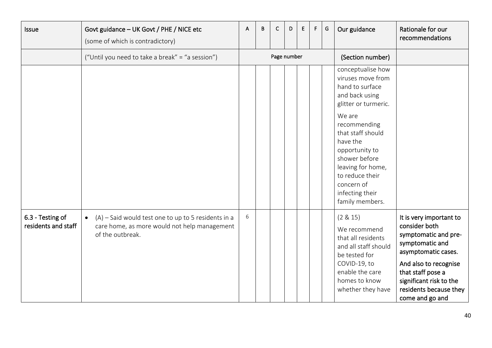<span id="page-39-0"></span>

| Issue                                   | Govt guidance - UK Govt / PHE / NICE etc<br>(some of which is contradictory)                                                           | A | B | C           | D | Ε | F. | G | Our guidance                                                                                                                                                                                                                                                                                  | Rationale for our<br>recommendations                                                                                                                                                                                             |
|-----------------------------------------|----------------------------------------------------------------------------------------------------------------------------------------|---|---|-------------|---|---|----|---|-----------------------------------------------------------------------------------------------------------------------------------------------------------------------------------------------------------------------------------------------------------------------------------------------|----------------------------------------------------------------------------------------------------------------------------------------------------------------------------------------------------------------------------------|
|                                         | ("Until you need to take a break" = "a session")                                                                                       |   |   | Page number |   |   |    |   | (Section number)                                                                                                                                                                                                                                                                              |                                                                                                                                                                                                                                  |
|                                         |                                                                                                                                        |   |   |             |   |   |    |   | conceptualise how<br>viruses move from<br>hand to surface<br>and back using<br>glitter or turmeric.<br>We are<br>recommending<br>that staff should<br>have the<br>opportunity to<br>shower before<br>leaving for home,<br>to reduce their<br>concern of<br>infecting their<br>family members. |                                                                                                                                                                                                                                  |
| 6.3 - Testing of<br>residents and staff | $(A)$ – Said would test one to up to 5 residents in a<br>$\bullet$<br>care home, as more would not help management<br>of the outbreak. | 6 |   |             |   |   |    |   | (2 & 15)<br>We recommend<br>that all residents<br>and all staff should<br>be tested for<br>COVID-19, to<br>enable the care<br>homes to know<br>whether they have                                                                                                                              | It is very important to<br>consider both<br>symptomatic and pre-<br>symptomatic and<br>asymptomatic cases.<br>And also to recognise<br>that staff pose a<br>significant risk to the<br>residents because they<br>come and go and |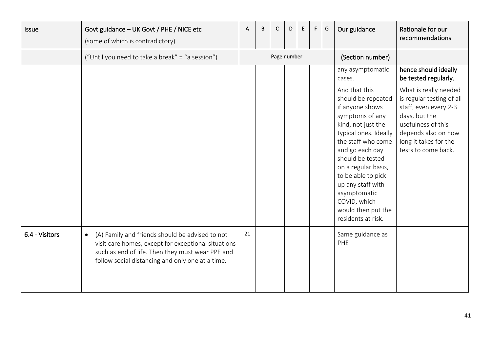<span id="page-40-0"></span>

| <b>Issue</b>   | Govt guidance - UK Govt / PHE / NICE etc<br>(some of which is contradictory)                                                                                                                                                | A  | B | C           | D | E | F. | G | Our guidance                                                                                                                                                                                                                                                                                                                                                      | Rationale for our<br>recommendations                                                                                                                                                                                                      |
|----------------|-----------------------------------------------------------------------------------------------------------------------------------------------------------------------------------------------------------------------------|----|---|-------------|---|---|----|---|-------------------------------------------------------------------------------------------------------------------------------------------------------------------------------------------------------------------------------------------------------------------------------------------------------------------------------------------------------------------|-------------------------------------------------------------------------------------------------------------------------------------------------------------------------------------------------------------------------------------------|
|                | ("Until you need to take a break" = "a session")                                                                                                                                                                            |    |   | Page number |   |   |    |   | (Section number)                                                                                                                                                                                                                                                                                                                                                  |                                                                                                                                                                                                                                           |
|                |                                                                                                                                                                                                                             |    |   |             |   |   |    |   | any asymptomatic<br>cases.<br>And that this<br>should be repeated<br>if anyone shows<br>symptoms of any<br>kind, not just the<br>typical ones. Ideally<br>the staff who come<br>and go each day<br>should be tested<br>on a regular basis,<br>to be able to pick<br>up any staff with<br>asymptomatic<br>COVID, which<br>would then put the<br>residents at risk. | hence should ideally<br>be tested regularly.<br>What is really needed<br>is regular testing of all<br>staff, even every 2-3<br>days, but the<br>usefulness of this<br>depends also on how<br>long it takes for the<br>tests to come back. |
| 6.4 - Visitors | (A) Family and friends should be advised to not<br>$\bullet$<br>visit care homes, except for exceptional situations<br>such as end of life. Then they must wear PPE and<br>follow social distancing and only one at a time. | 21 |   |             |   |   |    |   | Same guidance as<br><b>PHE</b>                                                                                                                                                                                                                                                                                                                                    |                                                                                                                                                                                                                                           |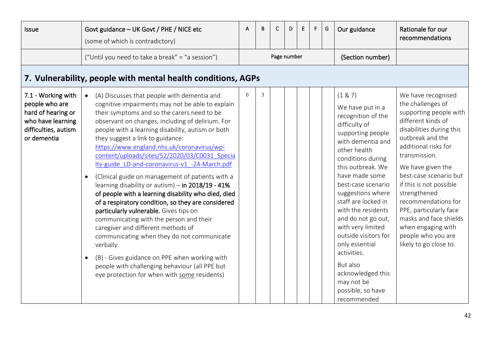<span id="page-41-1"></span><span id="page-41-0"></span>

| <b>Issue</b>                                                                                                           | Govt guidance - UK Govt / PHE / NICE etc<br>(some of which is contradictory)                                                                                                                                                                                                                                                                                                                                                                                                                                                                                                                                                                                                                                                                                                                                                                                                                                                                                                                                            | A | B | С           | D | E | F. | G | Our guidance                                                                                                                                                                                                                                                                                                                                                                                                                                                             | Rationale for our<br>recommendations                                                                                                                                                                                                                                                                                                                                                                                        |
|------------------------------------------------------------------------------------------------------------------------|-------------------------------------------------------------------------------------------------------------------------------------------------------------------------------------------------------------------------------------------------------------------------------------------------------------------------------------------------------------------------------------------------------------------------------------------------------------------------------------------------------------------------------------------------------------------------------------------------------------------------------------------------------------------------------------------------------------------------------------------------------------------------------------------------------------------------------------------------------------------------------------------------------------------------------------------------------------------------------------------------------------------------|---|---|-------------|---|---|----|---|--------------------------------------------------------------------------------------------------------------------------------------------------------------------------------------------------------------------------------------------------------------------------------------------------------------------------------------------------------------------------------------------------------------------------------------------------------------------------|-----------------------------------------------------------------------------------------------------------------------------------------------------------------------------------------------------------------------------------------------------------------------------------------------------------------------------------------------------------------------------------------------------------------------------|
|                                                                                                                        | ("Until you need to take a break" = "a session")                                                                                                                                                                                                                                                                                                                                                                                                                                                                                                                                                                                                                                                                                                                                                                                                                                                                                                                                                                        |   |   | Page number |   |   |    |   | (Section number)                                                                                                                                                                                                                                                                                                                                                                                                                                                         |                                                                                                                                                                                                                                                                                                                                                                                                                             |
| 7. Vulnerability, people with mental health conditions, AGPs                                                           |                                                                                                                                                                                                                                                                                                                                                                                                                                                                                                                                                                                                                                                                                                                                                                                                                                                                                                                                                                                                                         |   |   |             |   |   |    |   |                                                                                                                                                                                                                                                                                                                                                                                                                                                                          |                                                                                                                                                                                                                                                                                                                                                                                                                             |
| 7.1 - Working with<br>people who are<br>hard of hearing or<br>who have learning<br>difficulties, autism<br>or dementia | (A) Discusses that people with dementia and<br>$\bullet$<br>cognitive impairments may not be able to explain<br>their symptoms and so the carers need to be<br>observant on changes, including of delirium. For<br>people with a learning disability, autism or both<br>they suggest a link to guidance:<br>https://www.england.nhs.uk/coronavirus/wp-<br>content/uploads/sites/52/2020/03/C0031 Specia<br>lty-guide LD-and-coronavirus-v1 -24-March.pdf<br>(Clinical guide on management of patients with a<br>learning disability or autism) - in 2018/19 - 41%<br>of people with a learning disability who died, died<br>of a respiratory condition, so they are considered<br>particularly vulnerable. Gives tips on<br>communicating with the person and their<br>caregiver and different methods of<br>communicating when they do not communicate<br>verbally.<br>(B) - Gives guidance on PPE when working with<br>people with challenging behaviour (all PPE but<br>eye protection for when with some residents) | 6 | 3 |             |   |   |    |   | (1 & 87)<br>We have put in a<br>recognition of the<br>difficulty of<br>supporting people<br>with dementia and<br>other health<br>conditions during<br>this outbreak. We<br>have made some<br>best-case scenario<br>suggestions where<br>staff are locked in<br>with the residents<br>and do not go out,<br>with very limited<br>outside visitors for<br>only essential<br>activities.<br>But also<br>acknowledged this<br>may not be<br>possible, so have<br>recommended | We have recognised<br>the challenges of<br>supporting people with<br>different kinds of<br>disabilities during this<br>outbreak and the<br>additional risks for<br>transmission.<br>We have given the<br>best-case scenario but<br>if this is not possible<br>strengthened<br>recommendations for<br>PPE, particularly face<br>masks and face shields<br>when engaging with<br>people who you are<br>likely to go close to. |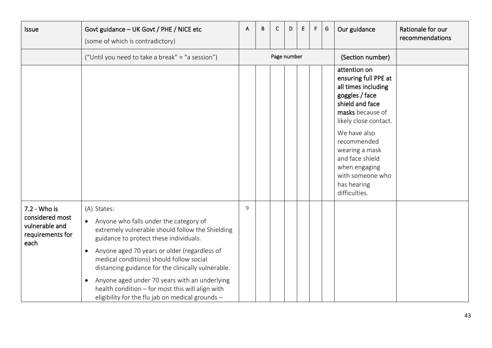<span id="page-42-0"></span>

| Issue                                                                         | Govt guidance - UK Govt / PHE / NICE etc<br>(some of which is contradictory)                                                                                                                                                                                                                                                                                                                                                                                                                          | A | В | C           | D | E | F. | G | Our guidance                                                                                                                                                                                                                                                                           | Rationale for our<br>recommendations |
|-------------------------------------------------------------------------------|-------------------------------------------------------------------------------------------------------------------------------------------------------------------------------------------------------------------------------------------------------------------------------------------------------------------------------------------------------------------------------------------------------------------------------------------------------------------------------------------------------|---|---|-------------|---|---|----|---|----------------------------------------------------------------------------------------------------------------------------------------------------------------------------------------------------------------------------------------------------------------------------------------|--------------------------------------|
|                                                                               | ("Until you need to take a break" = "a session")                                                                                                                                                                                                                                                                                                                                                                                                                                                      |   |   | Page number |   |   |    |   | (Section number)                                                                                                                                                                                                                                                                       |                                      |
|                                                                               |                                                                                                                                                                                                                                                                                                                                                                                                                                                                                                       |   |   |             |   |   |    |   | attention on<br>ensuring full PPE at<br>all times including<br>goggles / face<br>shield and face<br>masks because of<br>likely close contact.<br>We have also<br>recommended<br>wearing a mask<br>and face shield<br>when engaging<br>with someone who<br>has hearing<br>difficulties. |                                      |
| 7.2 - Who is<br>considered most<br>vulnerable and<br>requirements for<br>each | (A) States:<br>Anyone who falls under the category of<br>$\bullet$<br>extremely vulnerable should follow the Shielding<br>guidance to protect these individuals.<br>Anyone aged 70 years or older (regardless of<br>$\bullet$<br>medical conditions) should follow social<br>distancing guidance for the clinically vulnerable.<br>Anyone aged under 70 years with an underlying<br>$\bullet$<br>health condition - for most this will align with<br>eligibility for the flu jab on medical grounds - | 9 |   |             |   |   |    |   |                                                                                                                                                                                                                                                                                        |                                      |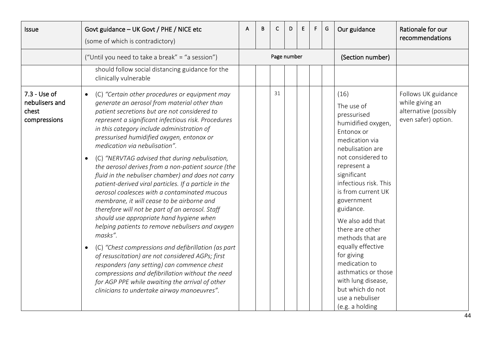<span id="page-43-0"></span>

| <b>Issue</b>                                            | Govt guidance - UK Govt / PHE / NICE etc<br>(some of which is contradictory)                                                                                                                                                                                                                                                                                                                                                                                                                                                                                                                                                                                                                                                                                                                                                                                                                                                                                                                                                                                                                                                                                   | A | B | C           | D. | E. | F. | G | Our guidance                                                                                                                                                                                                                                                                                                                                                                                                                                                   | Rationale for our<br>recommendations                                                   |
|---------------------------------------------------------|----------------------------------------------------------------------------------------------------------------------------------------------------------------------------------------------------------------------------------------------------------------------------------------------------------------------------------------------------------------------------------------------------------------------------------------------------------------------------------------------------------------------------------------------------------------------------------------------------------------------------------------------------------------------------------------------------------------------------------------------------------------------------------------------------------------------------------------------------------------------------------------------------------------------------------------------------------------------------------------------------------------------------------------------------------------------------------------------------------------------------------------------------------------|---|---|-------------|----|----|----|---|----------------------------------------------------------------------------------------------------------------------------------------------------------------------------------------------------------------------------------------------------------------------------------------------------------------------------------------------------------------------------------------------------------------------------------------------------------------|----------------------------------------------------------------------------------------|
|                                                         | ("Until you need to take a break" = "a session")                                                                                                                                                                                                                                                                                                                                                                                                                                                                                                                                                                                                                                                                                                                                                                                                                                                                                                                                                                                                                                                                                                               |   |   | Page number |    |    |    |   | (Section number)                                                                                                                                                                                                                                                                                                                                                                                                                                               |                                                                                        |
|                                                         | should follow social distancing guidance for the<br>clinically vulnerable                                                                                                                                                                                                                                                                                                                                                                                                                                                                                                                                                                                                                                                                                                                                                                                                                                                                                                                                                                                                                                                                                      |   |   |             |    |    |    |   |                                                                                                                                                                                                                                                                                                                                                                                                                                                                |                                                                                        |
| 7.3 - Use of<br>nebulisers and<br>chest<br>compressions | (C) "Certain other procedures or equipment may<br>$\bullet$<br>generate an aerosol from material other than<br>patient secretions but are not considered to<br>represent a significant infectious risk. Procedures<br>in this category include administration of<br>pressurised humidified oxygen, entonox or<br>medication via nebulisation".<br>(C) "NERVTAG advised that during nebulisation,<br>$\bullet$<br>the aerosol derives from a non-patient source (the<br>fluid in the nebuliser chamber) and does not carry<br>patient-derived viral particles. If a particle in the<br>aerosol coalesces with a contaminated mucous<br>membrane, it will cease to be airborne and<br>therefore will not be part of an aerosol. Staff<br>should use appropriate hand hygiene when<br>helping patients to remove nebulisers and oxygen<br>masks".<br>(C) "Chest compressions and defibrillation (as part<br>of resuscitation) are not considered AGPs; first<br>responders (any setting) can commence chest<br>compressions and defibrillation without the need<br>for AGP PPE while awaiting the arrival of other<br>clinicians to undertake airway manoeuvres". |   |   | 31          |    |    |    |   | (16)<br>The use of<br>pressurised<br>humidified oxygen,<br>Entonox or<br>medication via<br>nebulisation are<br>not considered to<br>represent a<br>significant<br>infectious risk. This<br>is from current UK<br>government<br>guidance.<br>We also add that<br>there are other<br>methods that are<br>equally effective<br>for giving<br>medication to<br>asthmatics or those<br>with lung disease,<br>but which do not<br>use a nebuliser<br>(e.g. a holding | Follows UK guidance<br>while giving an<br>alternative (possibly<br>even safer) option. |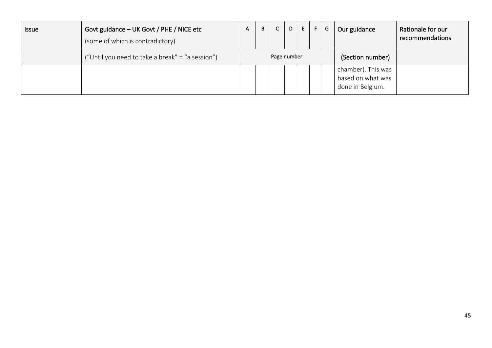| <b>Issue</b> | Govt guidance - UK Govt / PHE / NICE etc<br>(some of which is contradictory) | A. | B | $\mathsf{C}$ | D | E | - F∴ | G | Our guidance                                                | Rationale for our<br>recommendations |
|--------------|------------------------------------------------------------------------------|----|---|--------------|---|---|------|---|-------------------------------------------------------------|--------------------------------------|
|              | ("Until you need to take a break" = "a session")                             |    |   | Page number  |   |   |      |   | (Section number)                                            |                                      |
|              |                                                                              |    |   |              |   |   |      |   | chamber). This was<br>based on what was<br>done in Belgium. |                                      |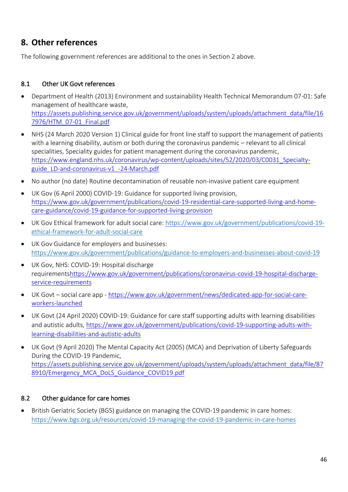### <span id="page-45-0"></span>**8. Other references**

The following government references are additional to the ones in Section 2 above.

### <span id="page-45-1"></span>8.1 Other UK Govt references

- Department of Health (2013) Environment and sustainability Health Technical Memorandum 07-01: Safe management of healthcare waste, [https://assets.publishing.service.gov.uk/government/uploads/system/uploads/attachment\\_data/file/16](https://assets.publishing.service.gov.uk/government/uploads/system/uploads/attachment_data/file/167976/HTM_07-01_Final.pdf) [7976/HTM\\_07-01\\_Final.pdf](https://assets.publishing.service.gov.uk/government/uploads/system/uploads/attachment_data/file/167976/HTM_07-01_Final.pdf)
- NHS (24 March 2020 Version 1) Clinical guide for front line staff to support the management of patients with a learning disability, autism or both during the coronavirus pandemic – relevant to all clinical specialities, Speciality guides for patient management during the coronavirus pandemic, [https://www.england.nhs.uk/coronavirus/wp-content/uploads/sites/52/2020/03/C0031\\_Specialty](https://www.england.nhs.uk/coronavirus/wp-content/uploads/sites/52/2020/03/C0031_Specialty-guide_LD-and-coronavirus-v1_-24-March.pdf)[guide\\_LD-and-coronavirus-v1\\_-24-March.pdf](https://www.england.nhs.uk/coronavirus/wp-content/uploads/sites/52/2020/03/C0031_Specialty-guide_LD-and-coronavirus-v1_-24-March.pdf)
- No author (no date) Routine decontamination of reusable non-invasive patient care equipment
- UK Gov (6 April 2000) COVID-19: Guidance for supported living provision, [https://www.gov.uk/government/publications/covid-19-residential-care-supported-living-and-home](https://www.gov.uk/government/publications/covid-19-residential-care-supported-living-and-home-care-guidance/covid-19-guidance-for-supported-living-provision)[care-guidance/covid-19-guidance-for-supported-living-provision](https://www.gov.uk/government/publications/covid-19-residential-care-supported-living-and-home-care-guidance/covid-19-guidance-for-supported-living-provision)
- UK Gov Ethical framework for adult social care: [https://www.gov.uk/government/publications/covid-19](https://www.gov.uk/government/publications/covid-19-ethical-framework-for-adult-social-care) [ethical-framework-for-adult-social-care](https://www.gov.uk/government/publications/covid-19-ethical-framework-for-adult-social-care)
- UK Gov Guidance for employers and businesses: <https://www.gov.uk/government/publications/guidance-to-employers-and-businesses-about-covid-19>
- UK Gov, NHS: COVID-19: Hospital discharge requirement[shttps://www.gov.uk/government/publications/coronavirus-covid-19-hospital-discharge](https://www.gov.uk/government/publications/coronavirus-covid-19-hospital-discharge-service-requirements)[service-requirements](https://www.gov.uk/government/publications/coronavirus-covid-19-hospital-discharge-service-requirements)
- UK Govt social care app [https://www.gov.uk/government/news/dedicated-app-for-social-care](https://www.gov.uk/government/news/dedicated-app-for-social-care-workers-launched)[workers-launched](https://www.gov.uk/government/news/dedicated-app-for-social-care-workers-launched)
- UK Govt (24 April 2020) COVID-19: Guidance for care staff supporting adults with learning disabilities and autistic adults, [https://www.gov.uk/government/publications/covid-19-supporting-adults-with](https://www.gov.uk/government/publications/covid-19-supporting-adults-with-learning-disabilities-and-autistic-adults)[learning-disabilities-and-autistic-adults](https://www.gov.uk/government/publications/covid-19-supporting-adults-with-learning-disabilities-and-autistic-adults)
- UK Govt (9 April 2020) The Mental Capacity Act (2005) (MCA) and Deprivation of Liberty Safeguards During the COVID-19 Pandemic, [https://assets.publishing.service.gov.uk/government/uploads/system/uploads/attachment\\_data/file/87](https://assets.publishing.service.gov.uk/government/uploads/system/uploads/attachment_data/file/878910/Emergency_MCA_DoLS_Guidance_COVID19.pdf) [8910/Emergency\\_MCA\\_DoLS\\_Guidance\\_COVID19.pdf](https://assets.publishing.service.gov.uk/government/uploads/system/uploads/attachment_data/file/878910/Emergency_MCA_DoLS_Guidance_COVID19.pdf)

### <span id="page-45-2"></span>8.2 Other guidance for care homes

• British Geriatric Society (BGS) guidance on managing the COVID-19 pandemic in care homes: <https://www.bgs.org.uk/resources/covid-19-managing-the-covid-19-pandemic-in-care-homes>